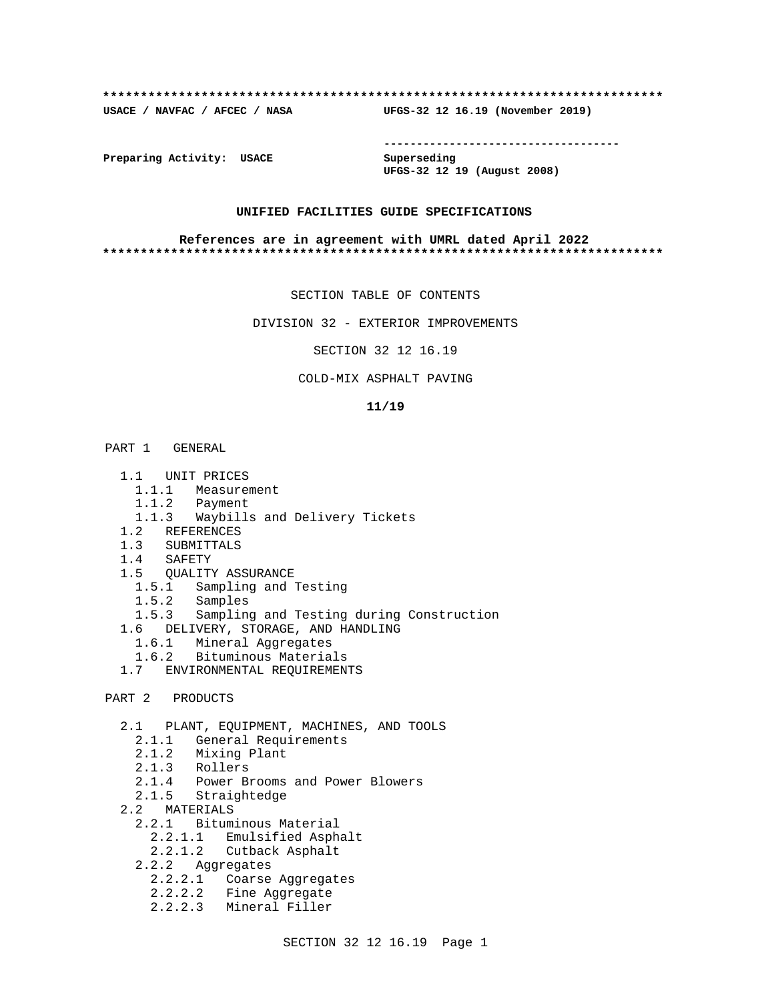### **\*\*\*\*\*\*\*\*\*\*\*\*\*\*\*\*\*\*\*\*\*\*\*\*\*\*\*\*\*\*\*\*\*\*\*\*\*\*\*\*\*\*\*\*\*\*\*\*\*\*\*\*\*\*\*\*\*\*\*\*\*\*\*\*\*\*\*\*\*\*\*\*\*\***

**USACE / NAVFAC / AFCEC / NASA UFGS-32 12 16.19 (November 2019)**

**------------------------------------**

**Preparing Activity: USACE Superseding**

**UFGS-32 12 19 (August 2008)**

# **UNIFIED FACILITIES GUIDE SPECIFICATIONS**

### **References are in agreement with UMRL dated April 2022 \*\*\*\*\*\*\*\*\*\*\*\*\*\*\*\*\*\*\*\*\*\*\*\*\*\*\*\*\*\*\*\*\*\*\*\*\*\*\*\*\*\*\*\*\*\*\*\*\*\*\*\*\*\*\*\*\*\*\*\*\*\*\*\*\*\*\*\*\*\*\*\*\*\***

SECTION TABLE OF CONTENTS

DIVISION 32 - EXTERIOR IMPROVEMENTS

SECTION 32 12 16.19

# COLD-MIX ASPHALT PAVING

### **11/19**

# PART 1 GENERAL

- 1.1 UNIT PRICES
- 1.1.1 Measurement
- 1.1.2 Payment
- 1.1.3 Waybills and Delivery Tickets
- 1.2 REFERENCES
- 1.3 SUBMITTALS
- 1.4 SAFETY
- 1.5 QUALITY ASSURANCE
- 1.5.1 Sampling and Testing
- 1.5.2 Samples
	- 1.5.3 Sampling and Testing during Construction
	- 1.6 DELIVERY, STORAGE, AND HANDLING
		- 1.6.1 Mineral Aggregates
		- 1.6.2 Bituminous Materials
	- 1.7 ENVIRONMENTAL REQUIREMENTS
- PART 2 PRODUCTS

2.1 PLANT, EQUIPMENT, MACHINES, AND TOOLS

- 2.1.1 General Requirements
- 2.1.2 Mixing Plant
- 2.1.3 Rollers
- 2.1.4 Power Brooms and Power Blowers
- 2.1.5 Straightedge
- 2.2 MATERIALS
	- 2.2.1 Bituminous Material
		- 2.2.1.1 Emulsified Asphalt
		- 2.2.1.2 Cutback Asphalt
	- 2.2.2 Aggregates
		- 2.2.2.1 Coarse Aggregates
		- 2.2.2.2 Fine Aggregate
		- 2.2.2.3 Mineral Filler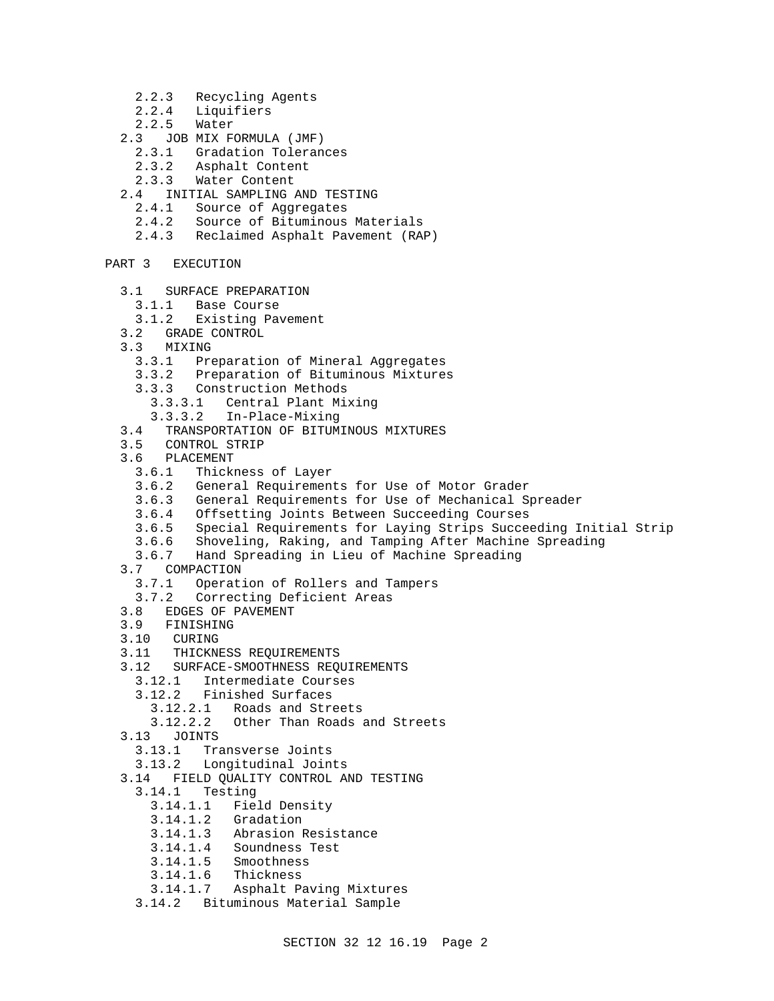- 2.2.3 Recycling Agents
- 2.2.4 Liquifiers
- $2.2.5$
- 2.3 JOB MIX FORMULA (JMF)
	- 2.3.1 Gradation Tolerances
	- 2.3.2 Asphalt Content
	- 2.3.3 Water Content
- 2.4 INITIAL SAMPLING AND TESTING
	- 2.4.1 Source of Aggregates
	- 2.4.2 Source of Bituminous Materials
	- 2.4.3 Reclaimed Asphalt Pavement (RAP)
- PART 3 EXECUTION
	- 3.1 SURFACE PREPARATION
	- 3.1.1 Base Course
	- 3.1.2 Existing Pavement
	- 3.2 GRADE CONTROL
	- 3.3 MIXING
		- 3.3.1 Preparation of Mineral Aggregates
		- 3.3.2 Preparation of Bituminous Mixtures
		- 3.3.3 Construction Methods
			- 3.3.3.1 Central Plant Mixing
		- 3.3.3.2 In-Place-Mixing
	- 3.4 TRANSPORTATION OF BITUMINOUS MIXTURES
	- 3.5 CONTROL STRIP
	- 3.6 PLACEMENT
		- 3.6.1 Thickness of Layer
		- 3.6.2 General Requirements for Use of Motor Grader
		- 3.6.3 General Requirements for Use of Mechanical Spreader
		- 3.6.4 Offsetting Joints Between Succeeding Courses
		- 3.6.5 Special Requirements for Laying Strips Succeeding Initial Strip
		- Shoveling, Raking, and Tamping After Machine Spreading
		- 3.6.7 Hand Spreading in Lieu of Machine Spreading
	- 3.7 COMPACTION
		- 3.7.1 Operation of Rollers and Tampers
		- 3.7.2 Correcting Deficient Areas
	- 3.8 EDGES OF PAVEMENT<br>3.9 FINISHING
	- 3.9 FINISHING<br>3.10 CURING
	- CURING
	- 3.11 THICKNESS REQUIREMENTS
	- 3.12 SURFACE-SMOOTHNESS REQUIREMENTS
		- 3.12.1 Intermediate Courses
		- 3.12.2 Finished Surfaces
			- 3.12.2.1 Roads and Streets
			- 3.12.2.2 Other Than Roads and Streets
	- 3.13 JOINTS
		- 3.13.1 Transverse Joints
		- 3.13.2 Longitudinal Joints
	- 3.14 FIELD QUALITY CONTROL AND TESTING
		- 3.14.1 Testing
			- 3.14.1.1 Field Density
			-
			- 3.14.1.2 Gradation Abrasion Resistance
			- 3.14.1.4 Soundness Test
			- 3.14.1.5 Smoothness
			- 3.14.1.6 Thickness
			- 3.14.1.7 Asphalt Paving Mixtures
		- 3.14.2 Bituminous Material Sample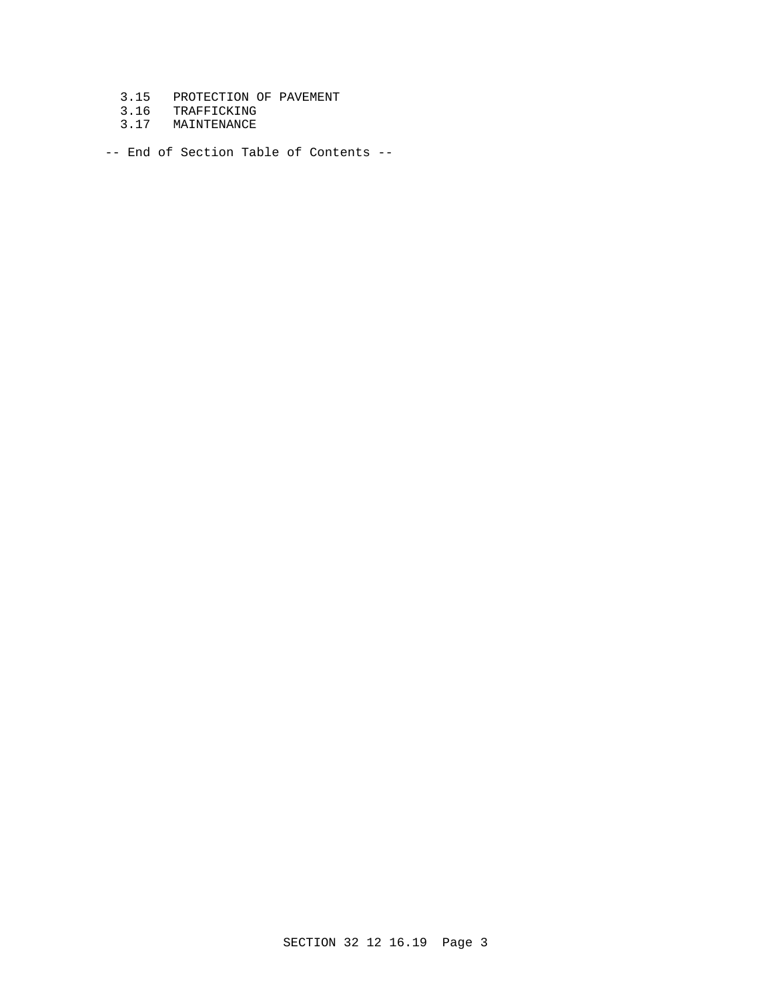- 3.15 PROTECTION OF PAVEMENT
- 3.16 TRAFFICKING
- 3.17 MAINTENANCE

-- End of Section Table of Contents --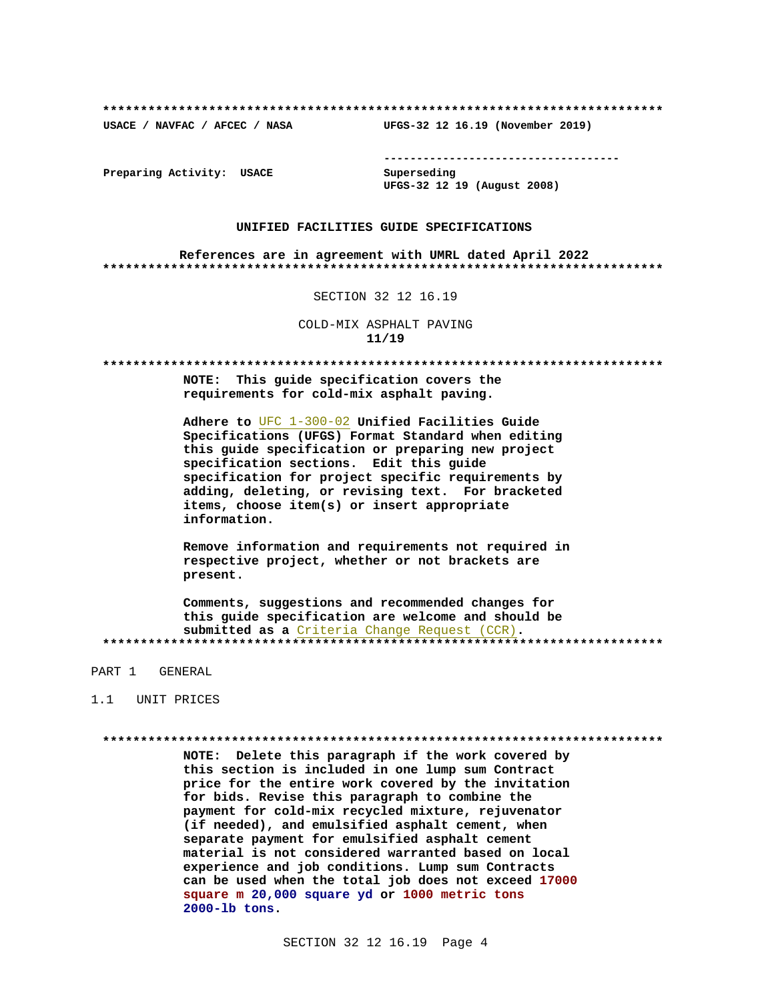USACE / NAVFAC / AFCEC / NASA

--------------------------------------

Preparing Activity: USACE

Superseding UFGS-32 12 19 (August 2008)

UFGS-32 12 16.19 (November 2019)

## UNIFIED FACILITIES GUIDE SPECIFICATIONS

References are in agreement with UMRL dated April 2022 

SECTION 32 12 16.19

COLD-MIX ASPHALT PAVING  $11/19$ 

NOTE: This guide specification covers the requirements for cold-mix asphalt paving.

Adhere to UFC 1-300-02 Unified Facilities Guide Specifications (UFGS) Format Standard when editing this guide specification or preparing new project specification sections. Edit this quide specification for project specific requirements by adding, deleting, or revising text. For bracketed items, choose item(s) or insert appropriate information.

Remove information and requirements not required in respective project, whether or not brackets are present.

Comments, suggestions and recommended changes for this guide specification are welcome and should be submitted as a Criteria Change Request (CCR). 

PART 1 GENERAL

### 1.1 UNIT PRICES

NOTE: Delete this paragraph if the work covered by this section is included in one lump sum Contract price for the entire work covered by the invitation for bids. Revise this paragraph to combine the payment for cold-mix recycled mixture, rejuvenator (if needed), and emulsified asphalt cement, when separate payment for emulsified asphalt cement material is not considered warranted based on local experience and job conditions. Lump sum Contracts can be used when the total job does not exceed 17000 square m 20,000 square yd or 1000 metric tons 2000-lb tons.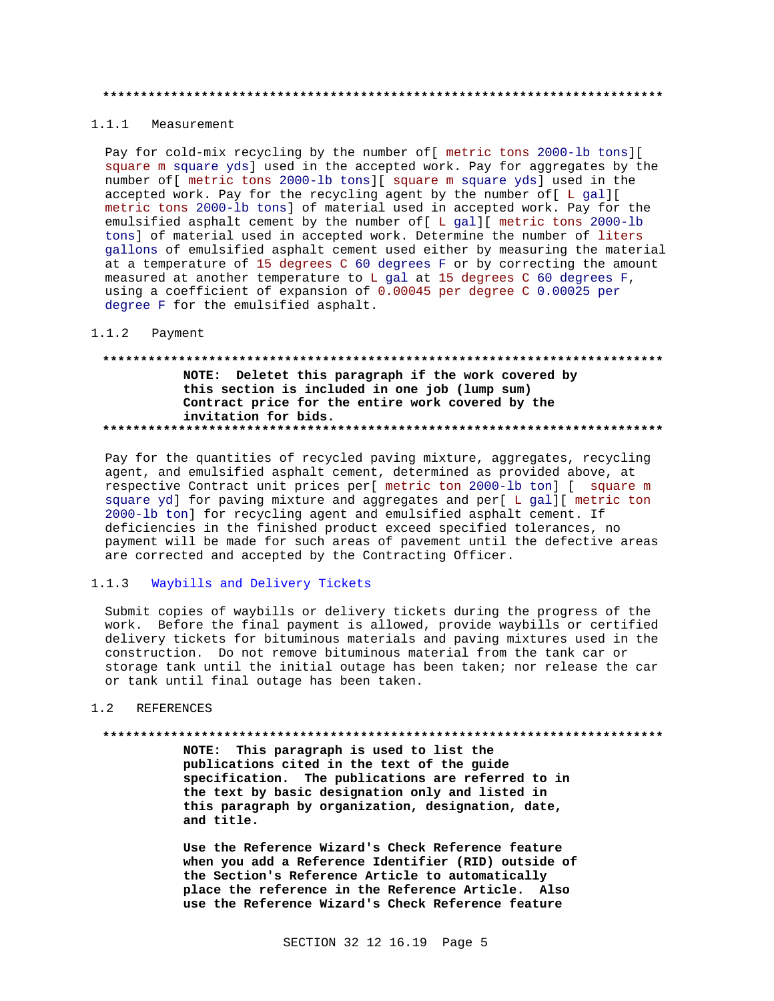#### 

# 1.1.1 Measurement

Pay for cold-mix recycling by the number of [ metric tons 2000-lb tons] [ square m square yds] used in the accepted work. Pay for aggregates by the number of [ metric tons 2000-lb tons] [ square m square yds] used in the accepted work. Pay for the recycling agent by the number of[ L gal][ metric tons 2000-lb tons] of material used in accepted work. Pay for the emulsified asphalt cement by the number of [ L gal] [ metric tons 2000-lb tons] of material used in accepted work. Determine the number of liters gallons of emulsified asphalt cement used either by measuring the material at a temperature of 15 degrees C 60 degrees F or by correcting the amount measured at another temperature to L gal at 15 degrees C 60 degrees F, using a coefficient of expansion of 0.00045 per degree C 0.00025 per degree F for the emulsified asphalt.

#### $1.1.2$ Payment

# NOTE: Deletet this paragraph if the work covered by this section is included in one job (lump sum) Contract price for the entire work covered by the invitation for bids.

Pay for the quantities of recycled paving mixture, aggregates, recycling agent, and emulsified asphalt cement, determined as provided above, at respective Contract unit prices per[ metric ton 2000-lb ton] [ square m square yd] for paving mixture and aggregates and per[ L gal][ metric ton 2000-lb ton] for recycling agent and emulsified asphalt cement. If deficiencies in the finished product exceed specified tolerances, no payment will be made for such areas of pavement until the defective areas are corrected and accepted by the Contracting Officer.

#### $1.1.3$ Waybills and Delivery Tickets

Submit copies of waybills or delivery tickets during the progress of the work. Before the final payment is allowed, provide waybills or certified delivery tickets for bituminous materials and paving mixtures used in the construction. Do not remove bituminous material from the tank car or storage tank until the initial outage has been taken; nor release the car or tank until final outage has been taken.

#### **REFERENCES**  $1.2$

### 

NOTE: This paragraph is used to list the publications cited in the text of the guide specification. The publications are referred to in the text by basic designation only and listed in this paragraph by organization, designation, date, and title.

Use the Reference Wizard's Check Reference feature when you add a Reference Identifier (RID) outside of the Section's Reference Article to automatically place the reference in the Reference Article. Also use the Reference Wizard's Check Reference feature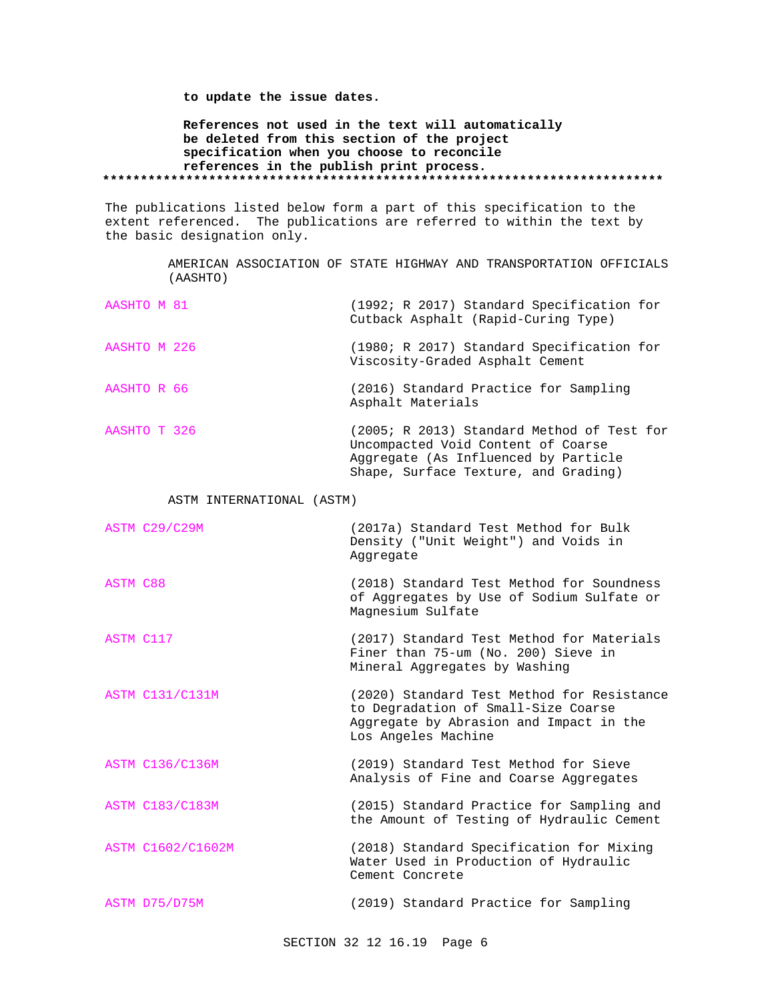**to update the issue dates.**

**References not used in the text will automatically be deleted from this section of the project specification when you choose to reconcile references in the publish print process. \*\*\*\*\*\*\*\*\*\*\*\*\*\*\*\*\*\*\*\*\*\*\*\*\*\*\*\*\*\*\*\*\*\*\*\*\*\*\*\*\*\*\*\*\*\*\*\*\*\*\*\*\*\*\*\*\*\*\*\*\*\*\*\*\*\*\*\*\*\*\*\*\*\***

The publications listed below form a part of this specification to the extent referenced. The publications are referred to within the text by the basic designation only.

> AMERICAN ASSOCIATION OF STATE HIGHWAY AND TRANSPORTATION OFFICIALS (AASHTO)

| AASHTO M 81  | (1992; R 2017) Standard Specification for<br>Cutback Asphalt (Rapid-Curing Type)                                                                                 |
|--------------|------------------------------------------------------------------------------------------------------------------------------------------------------------------|
| AASHTO M 226 | (1980; R 2017) Standard Specification for<br>Viscosity-Graded Asphalt Cement                                                                                     |
| AASHTO R 66  | (2016) Standard Practice for Sampling<br>Asphalt Materials                                                                                                       |
| AASHTO T 326 | (2005; R 2013) Standard Method of Test for<br>Uncompacted Void Content of Coarse<br>Aggregate (As Influenced by Particle<br>Shape, Surface Texture, and Grading) |

# ASTM INTERNATIONAL (ASTM)

|                 | ASTM C29/C29M          | (2017a) Standard Test Method for Bulk<br>Density ("Unit Weight") and Voids in<br>Aggregate                                                          |
|-----------------|------------------------|-----------------------------------------------------------------------------------------------------------------------------------------------------|
| <b>ASTM C88</b> |                        | (2018) Standard Test Method for Soundness<br>of Aggregates by Use of Sodium Sulfate or<br>Magnesium Sulfate                                         |
| ASTM C117       |                        | (2017) Standard Test Method for Materials<br>Finer than 75-um (No. 200) Sieve in<br>Mineral Aggregates by Washing                                   |
|                 | <b>ASTM C131/C131M</b> | (2020) Standard Test Method for Resistance<br>to Degradation of Small-Size Coarse<br>Aggregate by Abrasion and Impact in the<br>Los Angeles Machine |
|                 | <b>ASTM C136/C136M</b> | (2019) Standard Test Method for Sieve<br>Analysis of Fine and Coarse Aggregates                                                                     |
|                 | <b>ASTM C183/C183M</b> | (2015) Standard Practice for Sampling and<br>the Amount of Testing of Hydraulic Cement                                                              |
|                 | ASTM C1602/C1602M      | (2018) Standard Specification for Mixing<br>Water Used in Production of Hydraulic<br>Cement Concrete                                                |
|                 | ASTM D75/D75M          | (2019) Standard Practice for Sampling                                                                                                               |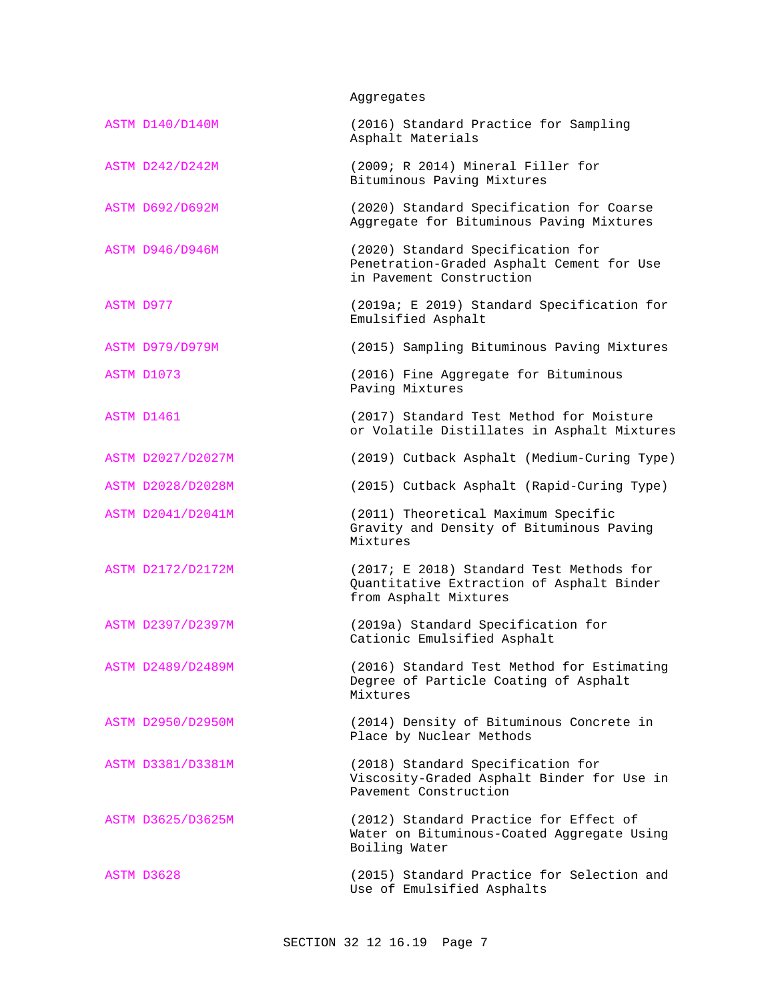Aggregates

| ASTM D140/D140M          | (2016) Standard Practice for Sampling<br>Asphalt Materials                                                     |
|--------------------------|----------------------------------------------------------------------------------------------------------------|
| ASTM D242/D242M          | (2009; R 2014) Mineral Filler for<br>Bituminous Paving Mixtures                                                |
| <b>ASTM D692/D692M</b>   | (2020) Standard Specification for Coarse<br>Aggregate for Bituminous Paving Mixtures                           |
| <b>ASTM D946/D946M</b>   | (2020) Standard Specification for<br>Penetration-Graded Asphalt Cement for Use<br>in Pavement Construction     |
| ASTM D977                | (2019a; E 2019) Standard Specification for<br>Emulsified Asphalt                                               |
| ASTM D979/D979M          | (2015) Sampling Bituminous Paving Mixtures                                                                     |
| ASTM D1073               | (2016) Fine Aggregate for Bituminous<br>Paving Mixtures                                                        |
| ASTM D1461               | (2017) Standard Test Method for Moisture<br>or Volatile Distillates in Asphalt Mixtures                        |
| ASTM D2027/D2027M        | (2019) Cutback Asphalt (Medium-Curing Type)                                                                    |
| ASTM D2028/D2028M        | (2015) Cutback Asphalt (Rapid-Curing Type)                                                                     |
| ASTM D2041/D2041M        | (2011) Theoretical Maximum Specific<br>Gravity and Density of Bituminous Paving<br>Mixtures                    |
| ASTM D2172/D2172M        | (2017; E 2018) Standard Test Methods for<br>Quantitative Extraction of Asphalt Binder<br>from Asphalt Mixtures |
| ASTM D2397/D2397M        | (2019a) Standard Specification for<br>Cationic Emulsified Asphalt                                              |
| ASTM D2489/D2489M        | (2016) Standard Test Method for Estimating<br>Degree of Particle Coating of Asphalt<br>Mixtures                |
| <b>ASTM D2950/D2950M</b> | (2014) Density of Bituminous Concrete in<br>Place by Nuclear Methods                                           |
| ASTM D3381/D3381M        | (2018) Standard Specification for<br>Viscosity-Graded Asphalt Binder for Use in<br>Payement Construction       |
| ASTM D3625/D3625M        | (2012) Standard Practice for Effect of<br>Water on Bituminous-Coated Aggregate Using<br>Boiling Water          |
| ASTM D3628               | (2015) Standard Practice for Selection and<br>Use of Emulsified Asphalts                                       |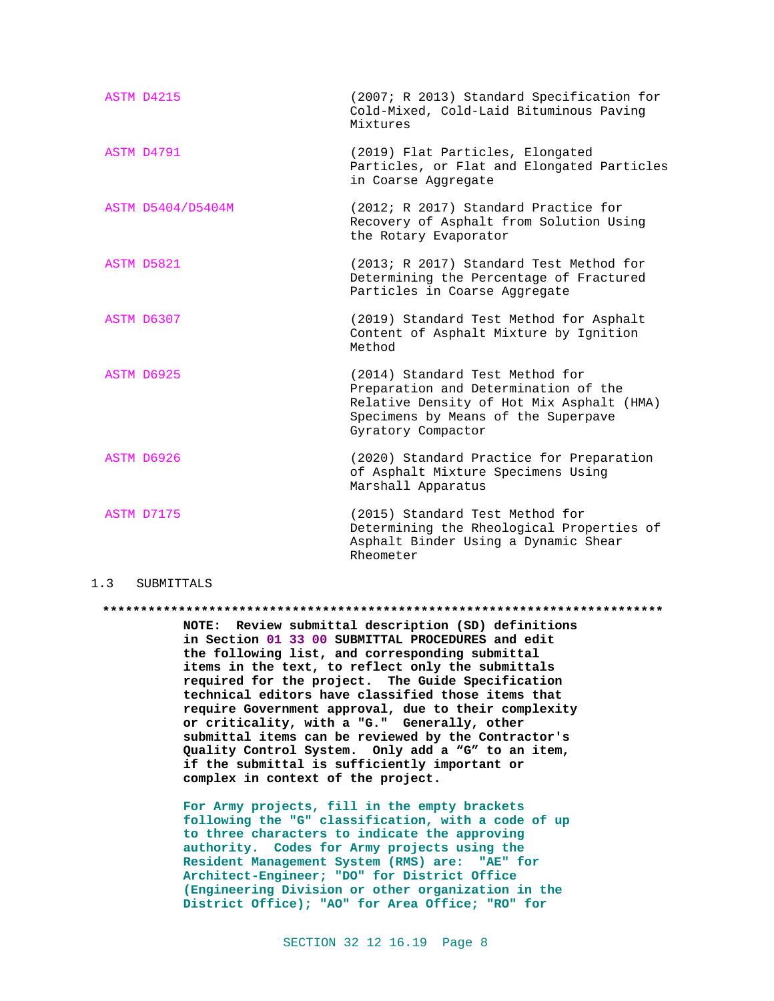| ASTM D4215        | (2007; R 2013) Standard Specification for<br>Cold-Mixed, Cold-Laid Bituminous Paving<br>Mixtures                                                                                  |
|-------------------|-----------------------------------------------------------------------------------------------------------------------------------------------------------------------------------|
| ASTM D4791        | (2019) Flat Particles, Elongated<br>Particles, or Flat and Elongated Particles<br>in Coarse Aggregate                                                                             |
| ASTM D5404/D5404M | (2012; R 2017) Standard Practice for<br>Recovery of Asphalt from Solution Using<br>the Rotary Evaporator                                                                          |
| ASTM D5821        | (2013; R 2017) Standard Test Method for<br>Determining the Percentage of Fractured<br>Particles in Coarse Aggregate                                                               |
| ASTM D6307        | (2019) Standard Test Method for Asphalt<br>Content of Asphalt Mixture by Ignition<br>Method                                                                                       |
| ASTM D6925        | (2014) Standard Test Method for<br>Preparation and Determination of the<br>Relative Density of Hot Mix Asphalt (HMA)<br>Specimens by Means of the Superpave<br>Gyratory Compactor |
| ASTM D6926        | (2020) Standard Practice for Preparation<br>of Asphalt Mixture Specimens Using<br>Marshall Apparatus                                                                              |
| ASTM D7175        | (2015) Standard Test Method for<br>Determining the Rheological Properties of<br>Asphalt Binder Using a Dynamic Shear<br>Rheometer                                                 |

## 1.3 SUBMITTALS

**\*\*\*\*\*\*\*\*\*\*\*\*\*\*\*\*\*\*\*\*\*\*\*\*\*\*\*\*\*\*\*\*\*\*\*\*\*\*\*\*\*\*\*\*\*\*\*\*\*\*\*\*\*\*\*\*\*\*\*\*\*\*\*\*\*\*\*\*\*\*\*\*\*\***

**NOTE: Review submittal description (SD) definitions in Section 01 33 00 SUBMITTAL PROCEDURES and edit the following list, and corresponding submittal items in the text, to reflect only the submittals required for the project. The Guide Specification technical editors have classified those items that require Government approval, due to their complexity or criticality, with a "G." Generally, other submittal items can be reviewed by the Contractor's Quality Control System. Only add a "G" to an item, if the submittal is sufficiently important or complex in context of the project.**

**For Army projects, fill in the empty brackets following the "G" classification, with a code of up to three characters to indicate the approving authority. Codes for Army projects using the Resident Management System (RMS) are: "AE" for Architect-Engineer; "DO" for District Office (Engineering Division or other organization in the District Office); "AO" for Area Office; "RO" for**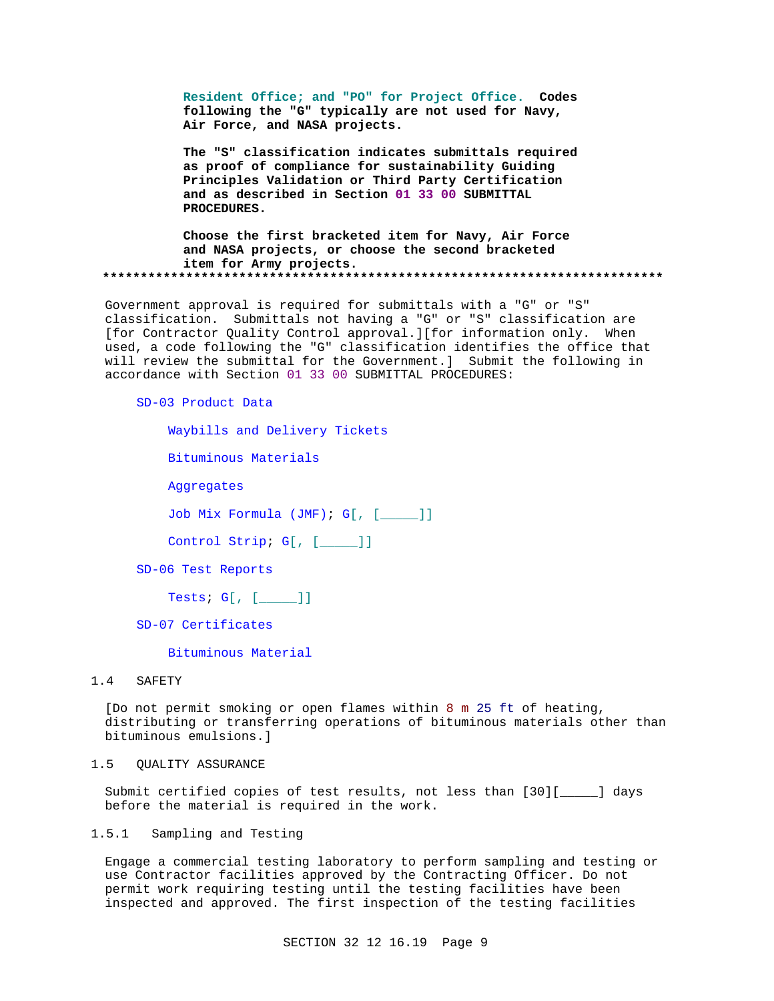**Resident Office; and "PO" for Project Office. Codes following the "G" typically are not used for Navy, Air Force, and NASA projects.**

**The "S" classification indicates submittals required as proof of compliance for sustainability Guiding Principles Validation or Third Party Certification and as described in Section 01 33 00 SUBMITTAL PROCEDURES.**

**Choose the first bracketed item for Navy, Air Force and NASA projects, or choose the second bracketed item for Army projects. \*\*\*\*\*\*\*\*\*\*\*\*\*\*\*\*\*\*\*\*\*\*\*\*\*\*\*\*\*\*\*\*\*\*\*\*\*\*\*\*\*\*\*\*\*\*\*\*\*\*\*\*\*\*\*\*\*\*\*\*\*\*\*\*\*\*\*\*\*\*\*\*\*\***

Government approval is required for submittals with a "G" or "S" classification. Submittals not having a "G" or "S" classification are [for Contractor Quality Control approval.][for information only. When used, a code following the "G" classification identifies the office that will review the submittal for the Government.] Submit the following in accordance with Section 01 33 00 SUBMITTAL PROCEDURES:

# SD-03 Product Data

Waybills and Delivery Tickets

Bituminous Materials

Aggregates

Job Mix Formula (JMF); G[, [\_\_\_\_\_]]

Control Strip; G[, [\_\_\_\_\_]]

SD-06 Test Reports

Tests; G[, [\_\_\_\_\_]]

SD-07 Certificates

Bituminous Material

## 1.4 SAFETY

[Do not permit smoking or open flames within 8 m 25 ft of heating, distributing or transferring operations of bituminous materials other than bituminous emulsions.]

1.5 QUALITY ASSURANCE

Submit certified copies of test results, not less than [30][\_\_\_\_\_] days before the material is required in the work.

# 1.5.1 Sampling and Testing

Engage a commercial testing laboratory to perform sampling and testing or use Contractor facilities approved by the Contracting Officer. Do not permit work requiring testing until the testing facilities have been inspected and approved. The first inspection of the testing facilities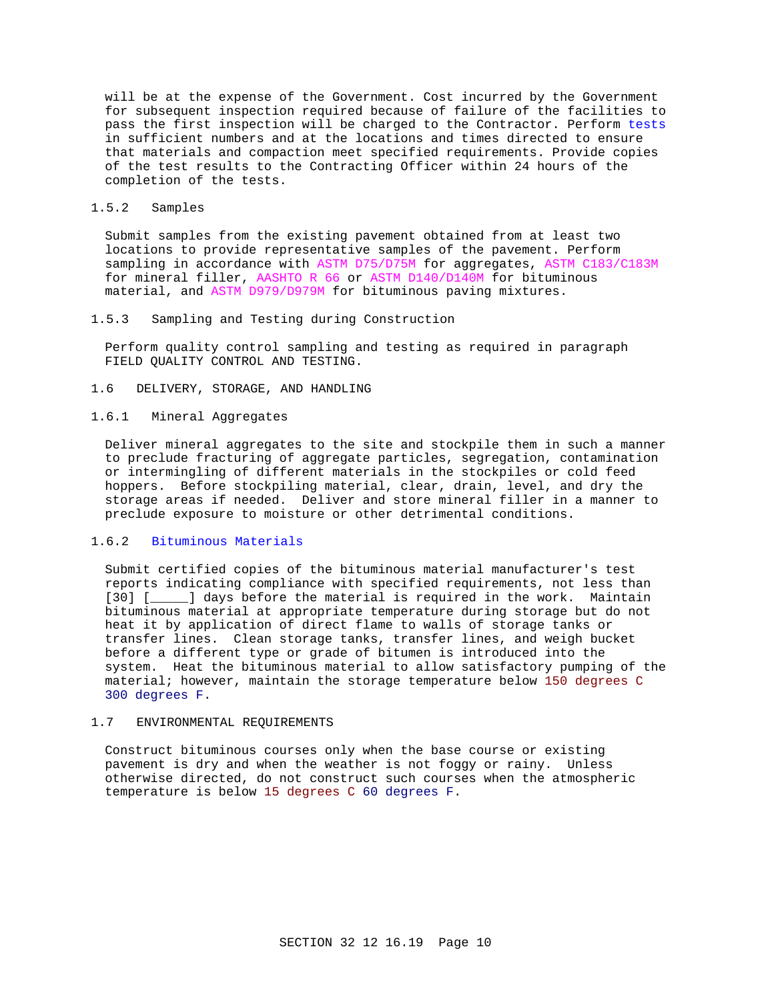will be at the expense of the Government. Cost incurred by the Government for subsequent inspection required because of failure of the facilities to pass the first inspection will be charged to the Contractor. Perform tests in sufficient numbers and at the locations and times directed to ensure that materials and compaction meet specified requirements. Provide copies of the test results to the Contracting Officer within 24 hours of the completion of the tests.

# 1.5.2 Samples

Submit samples from the existing pavement obtained from at least two locations to provide representative samples of the pavement. Perform sampling in accordance with ASTM D75/D75M for aggregates, ASTM C183/C183M for mineral filler, AASHTO R 66 or ASTM D140/D140M for bituminous material, and ASTM D979/D979M for bituminous paving mixtures.

# 1.5.3 Sampling and Testing during Construction

Perform quality control sampling and testing as required in paragraph FIELD QUALITY CONTROL AND TESTING.

1.6 DELIVERY, STORAGE, AND HANDLING

# 1.6.1 Mineral Aggregates

Deliver mineral aggregates to the site and stockpile them in such a manner to preclude fracturing of aggregate particles, segregation, contamination or intermingling of different materials in the stockpiles or cold feed hoppers. Before stockpiling material, clear, drain, level, and dry the storage areas if needed. Deliver and store mineral filler in a manner to preclude exposure to moisture or other detrimental conditions.

# 1.6.2 Bituminous Materials

Submit certified copies of the bituminous material manufacturer's test reports indicating compliance with specified requirements, not less than [30] [\_\_\_\_\_] days before the material is required in the work. Maintain bituminous material at appropriate temperature during storage but do not heat it by application of direct flame to walls of storage tanks or transfer lines. Clean storage tanks, transfer lines, and weigh bucket before a different type or grade of bitumen is introduced into the system. Heat the bituminous material to allow satisfactory pumping of the material; however, maintain the storage temperature below 150 degrees C 300 degrees F.

## 1.7 ENVIRONMENTAL REQUIREMENTS

Construct bituminous courses only when the base course or existing pavement is dry and when the weather is not foggy or rainy. Unless otherwise directed, do not construct such courses when the atmospheric temperature is below 15 degrees C 60 degrees F.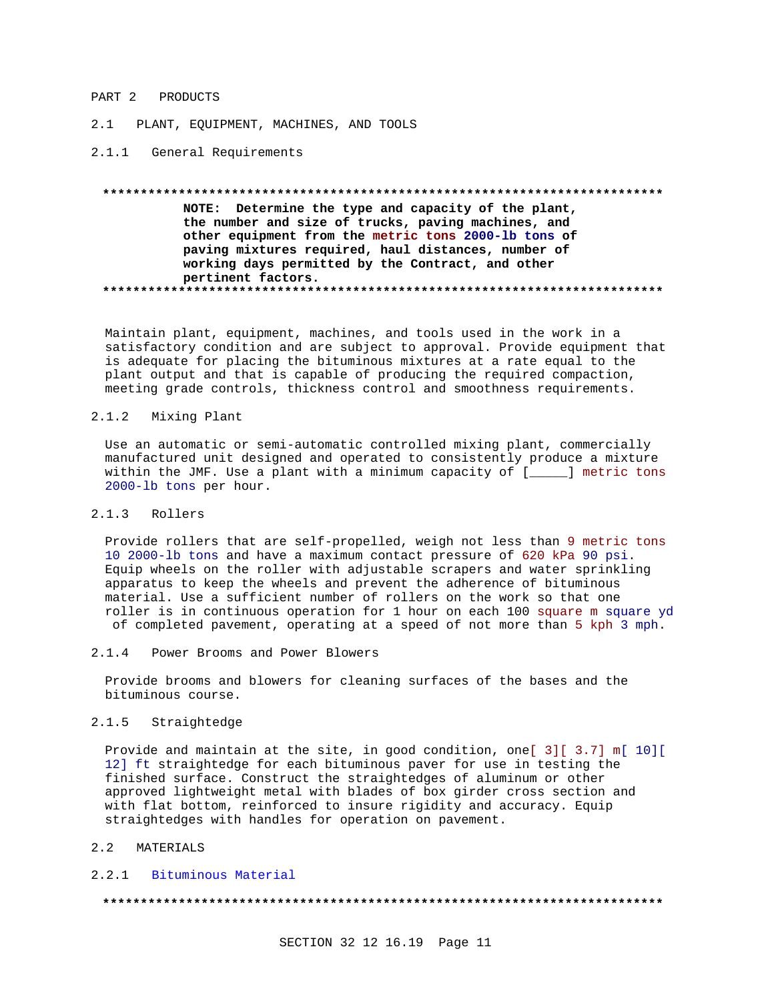### PART 2 PRODUCTS

2.1 PLANT, EQUIPMENT, MACHINES, AND TOOLS

2.1.1 General Requirements

# **\*\*\*\*\*\*\*\*\*\*\*\*\*\*\*\*\*\*\*\*\*\*\*\*\*\*\*\*\*\*\*\*\*\*\*\*\*\*\*\*\*\*\*\*\*\*\*\*\*\*\*\*\*\*\*\*\*\*\*\*\*\*\*\*\*\*\*\*\*\*\*\*\*\* NOTE: Determine the type and capacity of the plant, the number and size of trucks, paving machines, and other equipment from the metric tons 2000-lb tons of paving mixtures required, haul distances, number of working days permitted by the Contract, and other pertinent factors. \*\*\*\*\*\*\*\*\*\*\*\*\*\*\*\*\*\*\*\*\*\*\*\*\*\*\*\*\*\*\*\*\*\*\*\*\*\*\*\*\*\*\*\*\*\*\*\*\*\*\*\*\*\*\*\*\*\*\*\*\*\*\*\*\*\*\*\*\*\*\*\*\*\***

Maintain plant, equipment, machines, and tools used in the work in a satisfactory condition and are subject to approval. Provide equipment that is adequate for placing the bituminous mixtures at a rate equal to the plant output and that is capable of producing the required compaction, meeting grade controls, thickness control and smoothness requirements.

## 2.1.2 Mixing Plant

Use an automatic or semi-automatic controlled mixing plant, commercially manufactured unit designed and operated to consistently produce a mixture within the JMF. Use a plant with a minimum capacity of [\_\_\_\_] metric tons 2000-lb tons per hour.

# 2.1.3 Rollers

Provide rollers that are self-propelled, weigh not less than 9 metric tons 10 2000-lb tons and have a maximum contact pressure of 620 kPa 90 psi. Equip wheels on the roller with adjustable scrapers and water sprinkling apparatus to keep the wheels and prevent the adherence of bituminous material. Use a sufficient number of rollers on the work so that one roller is in continuous operation for 1 hour on each 100 square m square yd of completed pavement, operating at a speed of not more than 5 kph 3 mph.

2.1.4 Power Brooms and Power Blowers

Provide brooms and blowers for cleaning surfaces of the bases and the bituminous course.

# 2.1.5 Straightedge

Provide and maintain at the site, in good condition, one[ 3][ 3.7] m[ 10][ 12] ft straightedge for each bituminous paver for use in testing the finished surface. Construct the straightedges of aluminum or other approved lightweight metal with blades of box girder cross section and with flat bottom, reinforced to insure rigidity and accuracy. Equip straightedges with handles for operation on pavement.

# 2.2 MATERIALS

### 2.2.1 Bituminous Material

**\*\*\*\*\*\*\*\*\*\*\*\*\*\*\*\*\*\*\*\*\*\*\*\*\*\*\*\*\*\*\*\*\*\*\*\*\*\*\*\*\*\*\*\*\*\*\*\*\*\*\*\*\*\*\*\*\*\*\*\*\*\*\*\*\*\*\*\*\*\*\*\*\*\***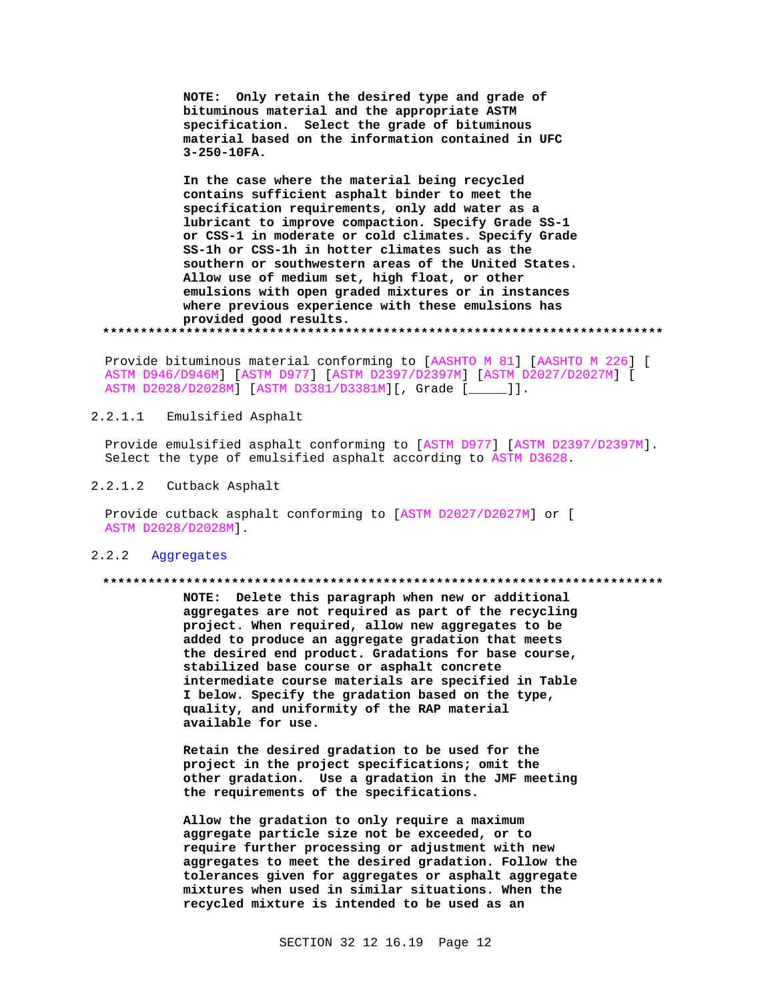**NOTE: Only retain the desired type and grade of bituminous material and the appropriate ASTM specification. Select the grade of bituminous material based on the information contained in UFC 3-250-10FA.**

**In the case where the material being recycled contains sufficient asphalt binder to meet the specification requirements, only add water as a lubricant to improve compaction. Specify Grade SS-1 or CSS-1 in moderate or cold climates. Specify Grade SS-1h or CSS-1h in hotter climates such as the southern or southwestern areas of the United States. Allow use of medium set, high float, or other emulsions with open graded mixtures or in instances where previous experience with these emulsions has provided good results.**

**\*\*\*\*\*\*\*\*\*\*\*\*\*\*\*\*\*\*\*\*\*\*\*\*\*\*\*\*\*\*\*\*\*\*\*\*\*\*\*\*\*\*\*\*\*\*\*\*\*\*\*\*\*\*\*\*\*\*\*\*\*\*\*\*\*\*\*\*\*\*\*\*\*\***

Provide bituminous material conforming to [AASHTO M 81] [AASHTO M 226] [ ASTM D946/D946M] [ASTM D977] [ASTM D2397/D2397M] [ASTM D2027/D2027M] [ ASTM D2028/D2028M] [ASTM D3381/D3381M][, Grade [\_\_\_\_\_]].

# 2.2.1.1 Emulsified Asphalt

Provide emulsified asphalt conforming to [ASTM D977] [ASTM D2397/D2397M]. Select the type of emulsified asphalt according to ASTM D3628.

# 2.2.1.2 Cutback Asphalt

Provide cutback asphalt conforming to [ASTM D2027/D2027M] or [ ASTM D2028/D2028M].

# 2.2.2 Aggregates

#### **\*\*\*\*\*\*\*\*\*\*\*\*\*\*\*\*\*\*\*\*\*\*\*\*\*\*\*\*\*\*\*\*\*\*\*\*\*\*\*\*\*\*\*\*\*\*\*\*\*\*\*\*\*\*\*\*\*\*\*\*\*\*\*\*\*\*\*\*\*\*\*\*\*\***

**NOTE: Delete this paragraph when new or additional aggregates are not required as part of the recycling project. When required, allow new aggregates to be added to produce an aggregate gradation that meets the desired end product. Gradations for base course, stabilized base course or asphalt concrete intermediate course materials are specified in Table I below. Specify the gradation based on the type, quality, and uniformity of the RAP material available for use.**

**Retain the desired gradation to be used for the project in the project specifications; omit the other gradation. Use a gradation in the JMF meeting the requirements of the specifications.**

**Allow the gradation to only require a maximum aggregate particle size not be exceeded, or to require further processing or adjustment with new aggregates to meet the desired gradation. Follow the tolerances given for aggregates or asphalt aggregate mixtures when used in similar situations. When the recycled mixture is intended to be used as an**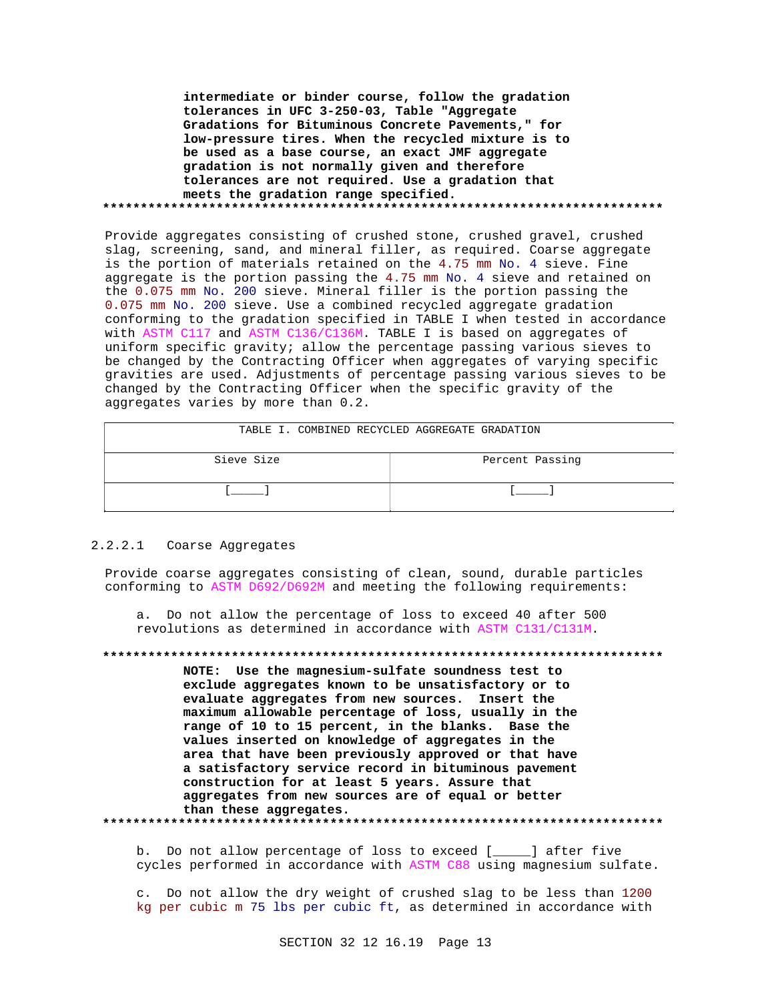**intermediate or binder course, follow the gradation tolerances in UFC 3-250-03, Table "Aggregate Gradations for Bituminous Concrete Pavements," for low-pressure tires. When the recycled mixture is to be used as a base course, an exact JMF aggregate gradation is not normally given and therefore tolerances are not required. Use a gradation that meets the gradation range specified. \*\*\*\*\*\*\*\*\*\*\*\*\*\*\*\*\*\*\*\*\*\*\*\*\*\*\*\*\*\*\*\*\*\*\*\*\*\*\*\*\*\*\*\*\*\*\*\*\*\*\*\*\*\*\*\*\*\*\*\*\*\*\*\*\*\*\*\*\*\*\*\*\*\***

Provide aggregates consisting of crushed stone, crushed gravel, crushed slag, screening, sand, and mineral filler, as required. Coarse aggregate is the portion of materials retained on the 4.75 mm No. 4 sieve. Fine aggregate is the portion passing the 4.75 mm No. 4 sieve and retained on the 0.075 mm No. 200 sieve. Mineral filler is the portion passing the 0.075 mm No. 200 sieve. Use a combined recycled aggregate gradation conforming to the gradation specified in TABLE I when tested in accordance with ASTM C117 and ASTM C136/C136M. TABLE I is based on aggregates of uniform specific gravity; allow the percentage passing various sieves to be changed by the Contracting Officer when aggregates of varying specific gravities are used. Adjustments of percentage passing various sieves to be changed by the Contracting Officer when the specific gravity of the aggregates varies by more than 0.2.

| TABLE I. COMBINED RECYCLED AGGREGATE GRADATION |                 |
|------------------------------------------------|-----------------|
| Sieve Size                                     | Percent Passing |
|                                                |                 |

# 2.2.2.1 Coarse Aggregates

Provide coarse aggregates consisting of clean, sound, durable particles conforming to ASTM D692/D692M and meeting the following requirements:

a. Do not allow the percentage of loss to exceed 40 after 500 revolutions as determined in accordance with ASTM C131/C131M.

**\*\*\*\*\*\*\*\*\*\*\*\*\*\*\*\*\*\*\*\*\*\*\*\*\*\*\*\*\*\*\*\*\*\*\*\*\*\*\*\*\*\*\*\*\*\*\*\*\*\*\*\*\*\*\*\*\*\*\*\*\*\*\*\*\*\*\*\*\*\*\*\*\*\* NOTE: Use the magnesium-sulfate soundness test to exclude aggregates known to be unsatisfactory or to evaluate aggregates from new sources. Insert the maximum allowable percentage of loss, usually in the range of 10 to 15 percent, in the blanks. Base the values inserted on knowledge of aggregates in the area that have been previously approved or that have a satisfactory service record in bituminous pavement construction for at least 5 years. Assure that aggregates from new sources are of equal or better than these aggregates. \*\*\*\*\*\*\*\*\*\*\*\*\*\*\*\*\*\*\*\*\*\*\*\*\*\*\*\*\*\*\*\*\*\*\*\*\*\*\*\*\*\*\*\*\*\*\*\*\*\*\*\*\*\*\*\*\*\*\*\*\*\*\*\*\*\*\*\*\*\*\*\*\*\***

b. Do not allow percentage of loss to exceed [ ] after five cycles performed in accordance with ASTM C88 using magnesium sulfate.

c. Do not allow the dry weight of crushed slag to be less than 1200 kg per cubic m 75 lbs per cubic ft, as determined in accordance with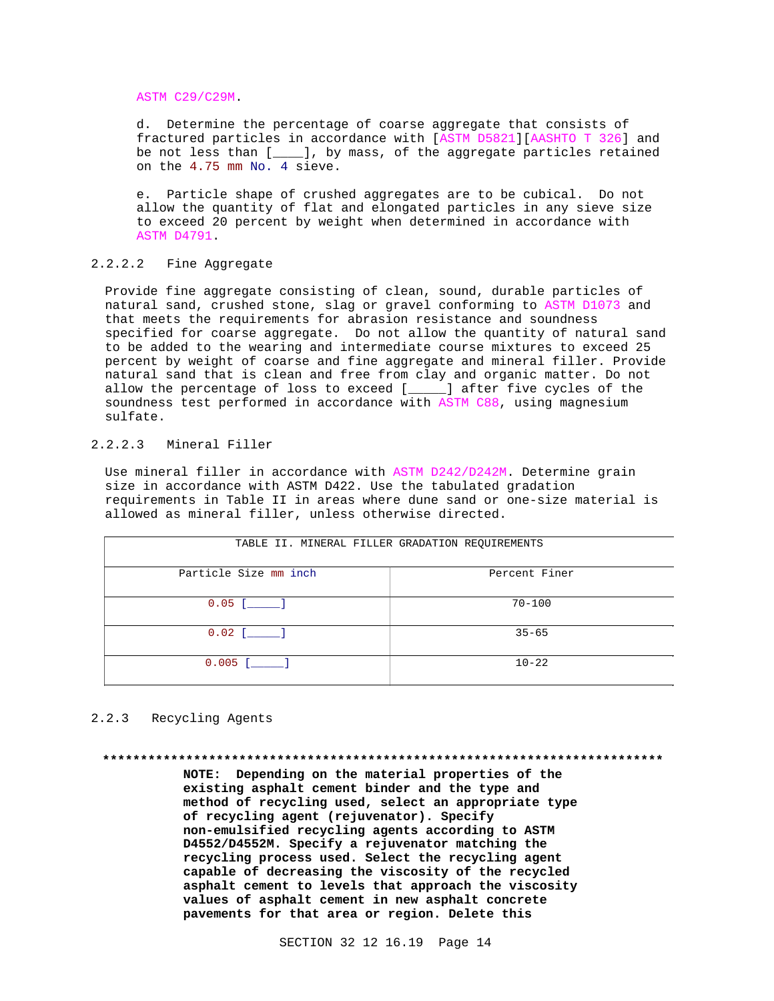ASTM C29/C29M.

d. Determine the percentage of coarse aggregate that consists of fractured particles in accordance with [ASTM D5821][AASHTO T 326] and be not less than [\_\_\_\_], by mass, of the aggregate particles retained on the 4.75 mm No. 4 sieve.

e. Particle shape of crushed aggregates are to be cubical. Do not allow the quantity of flat and elongated particles in any sieve size to exceed 20 percent by weight when determined in accordance with ASTM D4791.

# 2.2.2.2 Fine Aggregate

Provide fine aggregate consisting of clean, sound, durable particles of natural sand, crushed stone, slag or gravel conforming to ASTM D1073 and that meets the requirements for abrasion resistance and soundness specified for coarse aggregate. Do not allow the quantity of natural sand to be added to the wearing and intermediate course mixtures to exceed 25 percent by weight of coarse and fine aggregate and mineral filler. Provide natural sand that is clean and free from clay and organic matter. Do not allow the percentage of loss to exceed [\_\_\_\_\_] after five cycles of the soundness test performed in accordance with ASTM C88, using magnesium sulfate.

# 2.2.2.3 Mineral Filler

Use mineral filler in accordance with ASTM D242/D242M. Determine grain size in accordance with ASTM D422. Use the tabulated gradation requirements in Table II in areas where dune sand or one-size material is allowed as mineral filler, unless otherwise directed.

| TABLE II. MINERAL FILLER GRADATION REQUIREMENTS |               |
|-------------------------------------------------|---------------|
| Particle Size mm inch                           | Percent Finer |
| $0.05$ [ ]                                      | $70 - 100$    |
| $0.02$ [ ]                                      | $35 - 65$     |
| $0.005$ [ ]                                     | $10 - 22$     |

# 2.2.3 Recycling Agents

**\*\*\*\*\*\*\*\*\*\*\*\*\*\*\*\*\*\*\*\*\*\*\*\*\*\*\*\*\*\*\*\*\*\*\*\*\*\*\*\*\*\*\*\*\*\*\*\*\*\*\*\*\*\*\*\*\*\*\*\*\*\*\*\*\*\*\*\*\*\*\*\*\*\***

**NOTE: Depending on the material properties of the existing asphalt cement binder and the type and method of recycling used, select an appropriate type of recycling agent (rejuvenator). Specify non-emulsified recycling agents according to ASTM D4552/D4552M. Specify a rejuvenator matching the recycling process used. Select the recycling agent capable of decreasing the viscosity of the recycled asphalt cement to levels that approach the viscosity values of asphalt cement in new asphalt concrete pavements for that area or region. Delete this**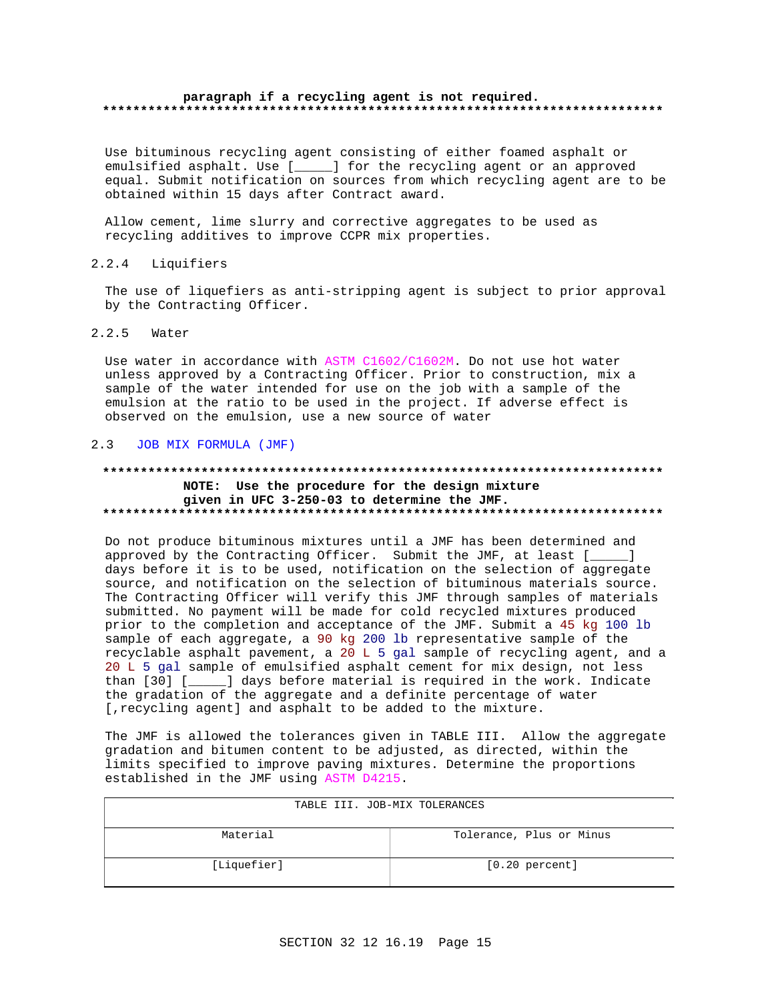## paragraph if a recycling agent is not required.

Use bituminous recycling agent consisting of either foamed asphalt or emulsified asphalt. Use [\_\_\_\_\_] for the recycling agent or an approved equal. Submit notification on sources from which recycling agent are to be obtained within 15 days after Contract award.

Allow cement, lime slurry and corrective aggregates to be used as recycling additives to improve CCPR mix properties.

 $2.2.4$ Liquifiers

The use of liquefiers as anti-stripping agent is subject to prior approval by the Contracting Officer.

#### $2.2.5$ Water

Use water in accordance with ASTM C1602/C1602M. Do not use hot water unless approved by a Contracting Officer. Prior to construction, mix a sample of the water intended for use on the job with a sample of the emulsion at the ratio to be used in the project. If adverse effect is observed on the emulsion, use a new source of water

# 2.3 JOB MIX FORMULA (JMF)

# NOTE: Use the procedure for the design mixture given in UFC 3-250-03 to determine the JMF.

Do not produce bituminous mixtures until a JMF has been determined and approved by the Contracting Officer. Submit the JMF, at least [\_\_\_\_] days before it is to be used, notification on the selection of aggregate source, and notification on the selection of bituminous materials source. The Contracting Officer will verify this JMF through samples of materials submitted. No payment will be made for cold recycled mixtures produced prior to the completion and acceptance of the JMF. Submit a 45 kg 100 lb sample of each aggregate, a 90 kg 200 lb representative sample of the recyclable asphalt pavement, a 20 L 5 gal sample of recycling agent, and a 20 L 5 gal sample of emulsified asphalt cement for mix design, not less than [30] [\_\_\_\_\_] days before material is required in the work. Indicate the gradation of the aggregate and a definite percentage of water [, recycling agent] and asphalt to be added to the mixture.

The JMF is allowed the tolerances given in TABLE III. Allow the aggregate gradation and bitumen content to be adjusted, as directed, within the limits specified to improve paving mixtures. Determine the proportions established in the JMF using ASTM D4215.

| TABLE III. JOB-MIX TOLERANCES |                          |  |
|-------------------------------|--------------------------|--|
| Material                      | Tolerance, Plus or Minus |  |
| [Liquefier]                   | $[0.20$ percent]         |  |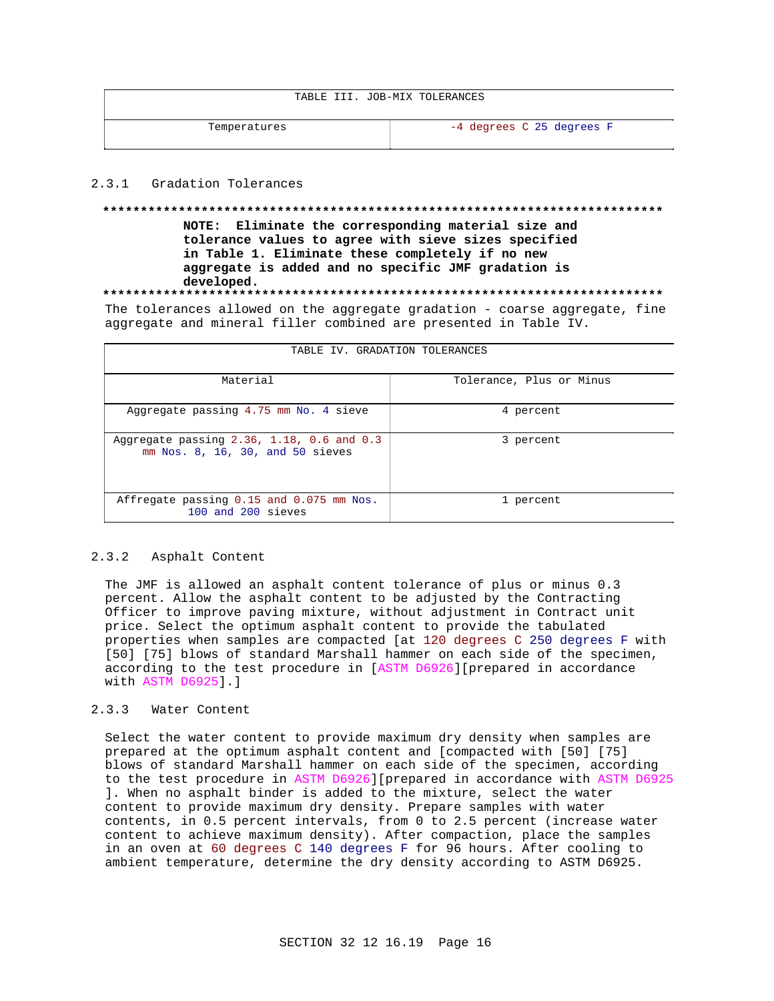|  |  |  |  | TABLE III. JOB-MIX TOLERANCES |
|--|--|--|--|-------------------------------|
|--|--|--|--|-------------------------------|

Temperatures and the contract of the contract of the contract of the contract of the contract of the contract of the contract of the contract of the contract of the contract of the contract of the contract of the contract

# 2.3.1 Gradation Tolerances

# **\*\*\*\*\*\*\*\*\*\*\*\*\*\*\*\*\*\*\*\*\*\*\*\*\*\*\*\*\*\*\*\*\*\*\*\*\*\*\*\*\*\*\*\*\*\*\*\*\*\*\*\*\*\*\*\*\*\*\*\*\*\*\*\*\*\*\*\*\*\*\*\*\*\***

**NOTE: Eliminate the corresponding material size and tolerance values to agree with sieve sizes specified in Table 1. Eliminate these completely if no new aggregate is added and no specific JMF gradation is developed.**

# **\*\*\*\*\*\*\*\*\*\*\*\*\*\*\*\*\*\*\*\*\*\*\*\*\*\*\*\*\*\*\*\*\*\*\*\*\*\*\*\*\*\*\*\*\*\*\*\*\*\*\*\*\*\*\*\*\*\*\*\*\*\*\*\*\*\*\*\*\*\*\*\*\*\***

The tolerances allowed on the aggregate gradation - coarse aggregate, fine aggregate and mineral filler combined are presented in Table IV.

| TABLE IV. GRADATION TOLERANCES                                                          |                          |  |
|-----------------------------------------------------------------------------------------|--------------------------|--|
| Material                                                                                | Tolerance, Plus or Minus |  |
| Aggregate passing 4.75 mm No. 4 sieve                                                   | 4 percent                |  |
| Aggregate passing $2.36$ , $1.18$ , $0.6$ and $0.3$<br>mm Nos. 8, 16, 30, and 50 sieves | 3 percent                |  |
| Affregate passing 0.15 and 0.075 mm Nos.<br>100 and 200 sieves                          | 1 percent                |  |

# 2.3.2 Asphalt Content

The JMF is allowed an asphalt content tolerance of plus or minus 0.3 percent. Allow the asphalt content to be adjusted by the Contracting Officer to improve paving mixture, without adjustment in Contract unit price. Select the optimum asphalt content to provide the tabulated properties when samples are compacted [at 120 degrees C 250 degrees F with [50] [75] blows of standard Marshall hammer on each side of the specimen, according to the test procedure in [ASTM D6926][prepared in accordance with ASTM D6925].]

## 2.3.3 Water Content

Select the water content to provide maximum dry density when samples are prepared at the optimum asphalt content and [compacted with [50] [75] blows of standard Marshall hammer on each side of the specimen, according to the test procedure in ASTM D6926][prepared in accordance with ASTM D6925 ]. When no asphalt binder is added to the mixture, select the water content to provide maximum dry density. Prepare samples with water contents, in 0.5 percent intervals, from 0 to 2.5 percent (increase water content to achieve maximum density). After compaction, place the samples in an oven at 60 degrees C 140 degrees F for 96 hours. After cooling to ambient temperature, determine the dry density according to ASTM D6925.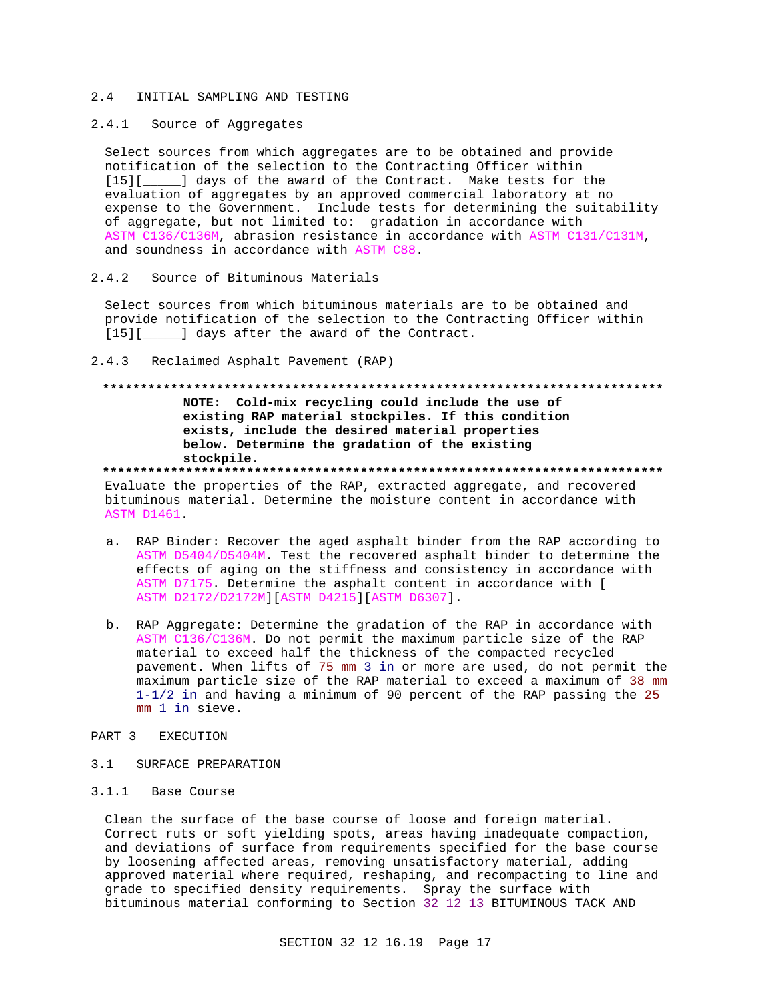#### $2.4$ INITIAL SAMPLING AND TESTING

# 2.4.1 Source of Aggregates

Select sources from which aggregates are to be obtained and provide notification of the selection to the Contracting Officer within [15][\_\_\_\_\_] days of the award of the Contract. Make tests for the evaluation of aggregates by an approved commercial laboratory at no expense to the Government. Include tests for determining the suitability of aggregate, but not limited to: gradation in accordance with ASTM C136/C136M, abrasion resistance in accordance with ASTM C131/C131M, and soundness in accordance with ASTM C88.

#### $2.4.2$ Source of Bituminous Materials

Select sources from which bituminous materials are to be obtained and provide notification of the selection to the Contracting Officer within [15][\_\_\_\_\_] days after the award of the Contract.

 $2.4.3$ Reclaimed Asphalt Pavement (RAP)

# NOTE: Cold-mix recycling could include the use of existing RAP material stockpiles. If this condition exists, include the desired material properties below. Determine the gradation of the existing stockpile.

Evaluate the properties of the RAP, extracted aggregate, and recovered bituminous material. Determine the moisture content in accordance with **ASTM D1461.** 

- a. RAP Binder: Recover the aged asphalt binder from the RAP according to ASTM D5404/D5404M. Test the recovered asphalt binder to determine the effects of aging on the stiffness and consistency in accordance with ASTM D7175. Determine the asphalt content in accordance with [ ASTM D2172/D2172M][ASTM D4215][ASTM D6307].
- b. RAP Aggregate: Determine the gradation of the RAP in accordance with ASTM C136/C136M. Do not permit the maximum particle size of the RAP material to exceed half the thickness of the compacted recycled pavement. When lifts of 75 mm 3 in or more are used, do not permit the maximum particle size of the RAP material to exceed a maximum of 38 mm  $1-1/2$  in and having a minimum of 90 percent of the RAP passing the 25 mm 1 in sieve.

# PART 3 EXECUTION

 $3.1$ SURFACE PREPARATION

# 3.1.1 Base Course

Clean the surface of the base course of loose and foreign material. Correct ruts or soft yielding spots, areas having inadequate compaction, and deviations of surface from requirements specified for the base course by loosening affected areas, removing unsatisfactory material, adding approved material where required, reshaping, and recompacting to line and grade to specified density requirements. Spray the surface with bituminous material conforming to Section 32 12 13 BITUMINOUS TACK AND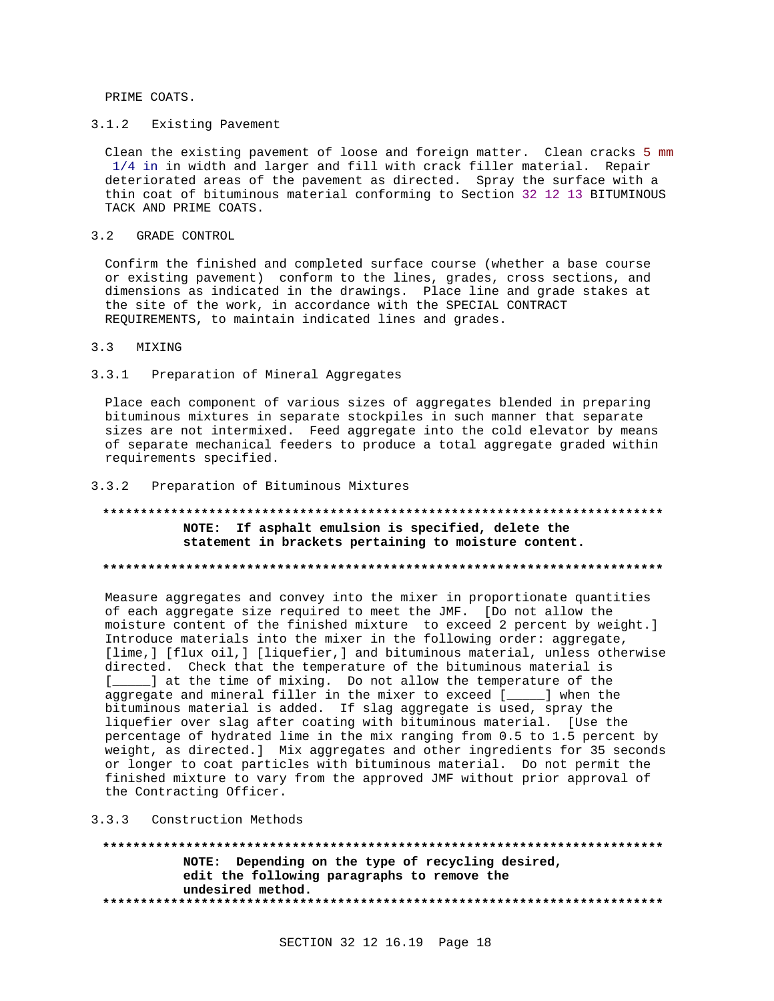PRIME COATS.

#### $3.1.2$ Existing Pavement

Clean the existing pavement of loose and foreign matter. Clean cracks 5 mm 1/4 in in width and larger and fill with crack filler material. Repair deteriorated areas of the pavement as directed. Spray the surface with a thin coat of bituminous material conforming to Section 32 12 13 BITUMINOUS TACK AND PRIME COATS.

 $3.2$ GRADE CONTROL

Confirm the finished and completed surface course (whether a base course or existing pavement) conform to the lines, grades, cross sections, and dimensions as indicated in the drawings. Place line and grade stakes at the site of the work, in accordance with the SPECIAL CONTRACT REQUIREMENTS, to maintain indicated lines and grades.

#### $3.3$ MIXING

#### Preparation of Mineral Aggregates  $3.3.1$

Place each component of various sizes of aggregates blended in preparing bituminous mixtures in separate stockpiles in such manner that separate sizes are not intermixed. Feed aggregate into the cold elevator by means of separate mechanical feeders to produce a total aggregate graded within requirements specified.

#### Preparation of Bituminous Mixtures  $3.3.2$

# NOTE: If asphalt emulsion is specified, delete the statement in brackets pertaining to moisture content.

# 

Measure aggregates and convey into the mixer in proportionate quantities of each aggregate size required to meet the JMF. [Do not allow the moisture content of the finished mixture to exceed 2 percent by weight.] Introduce materials into the mixer in the following order: aggregate, [lime,] [flux oil,] [liquefier,] and bituminous material, unless otherwise directed. Check that the temperature of the bituminous material is \_] at the time of mixing. Do not allow the temperature of the  $\mathbb{R}$ aggregate and mineral filler in the mixer to exceed [\_\_\_\_] when the bituminous material is added. If slag aggregate is used, spray the liquefier over slag after coating with bituminous material. [Use the percentage of hydrated lime in the mix ranging from 0.5 to 1.5 percent by weight, as directed.] Mix aggregates and other ingredients for 35 seconds or longer to coat particles with bituminous material. Do not permit the finished mixture to vary from the approved JMF without prior approval of the Contracting Officer.

### 3.3.3 Construction Methods

\*\*\*\*\*\*\*\*\*\*\*\*\*\*\* NOTE: Depending on the type of recycling desired, edit the following paragraphs to remove the undesired method.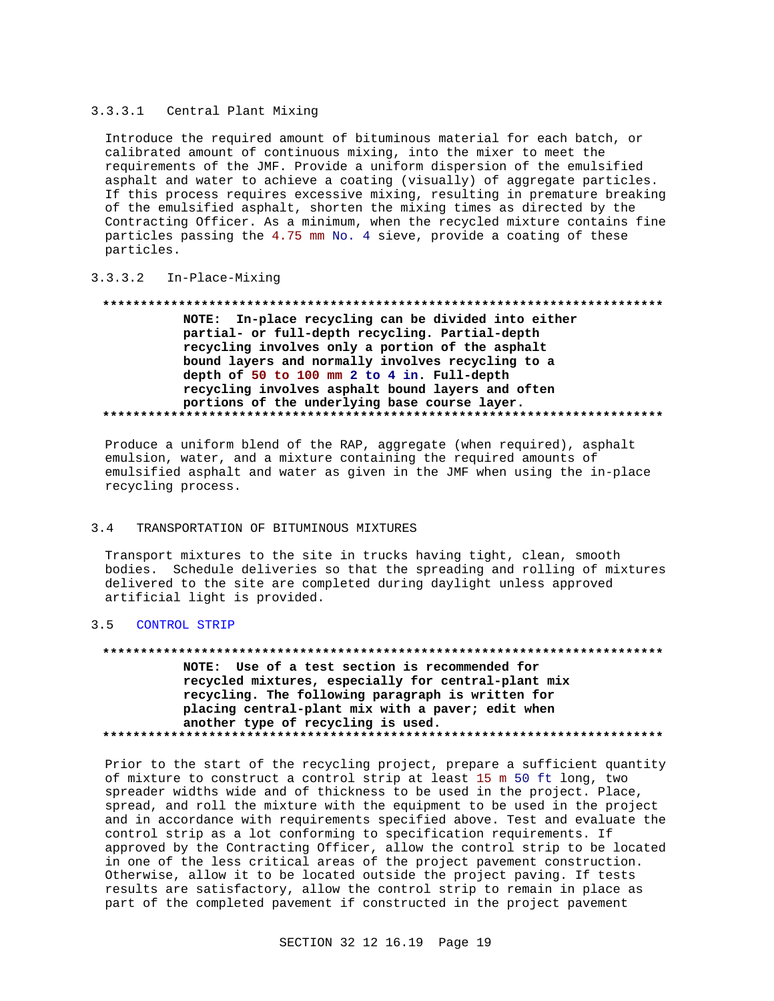# 3.3.3.1 Central Plant Mixing

Introduce the required amount of bituminous material for each batch, or calibrated amount of continuous mixing, into the mixer to meet the requirements of the JMF. Provide a uniform dispersion of the emulsified asphalt and water to achieve a coating (visually) of aggregate particles. If this process requires excessive mixing, resulting in premature breaking of the emulsified asphalt, shorten the mixing times as directed by the Contracting Officer. As a minimum, when the recycled mixture contains fine particles passing the 4.75 mm No. 4 sieve, provide a coating of these particles.

# 3.3.3.2 In-Place-Mixing

## **\*\*\*\*\*\*\*\*\*\*\*\*\*\*\*\*\*\*\*\*\*\*\*\*\*\*\*\*\*\*\*\*\*\*\*\*\*\*\*\*\*\*\*\*\*\*\*\*\*\*\*\*\*\*\*\*\*\*\*\*\*\*\*\*\*\*\*\*\*\*\*\*\*\***

**NOTE: In-place recycling can be divided into either partial- or full-depth recycling. Partial-depth recycling involves only a portion of the asphalt bound layers and normally involves recycling to a depth of 50 to 100 mm 2 to 4 in. Full-depth recycling involves asphalt bound layers and often portions of the underlying base course layer. \*\*\*\*\*\*\*\*\*\*\*\*\*\*\*\*\*\*\*\*\*\*\*\*\*\*\*\*\*\*\*\*\*\*\*\*\*\*\*\*\*\*\*\*\*\*\*\*\*\*\*\*\*\*\*\*\*\*\*\*\*\*\*\*\*\*\*\*\*\*\*\*\*\***

Produce a uniform blend of the RAP, aggregate (when required), asphalt emulsion, water, and a mixture containing the required amounts of emulsified asphalt and water as given in the JMF when using the in-place recycling process.

# 3.4 TRANSPORTATION OF BITUMINOUS MIXTURES

Transport mixtures to the site in trucks having tight, clean, smooth bodies. Schedule deliveries so that the spreading and rolling of mixtures delivered to the site are completed during daylight unless approved artificial light is provided.

# 3.5 CONTROL STRIP

#### **\*\*\*\*\*\*\*\*\*\*\*\*\*\*\*\*\*\*\*\*\*\*\*\*\*\*\*\*\*\*\*\*\*\*\*\*\*\*\*\*\*\*\*\*\*\*\*\*\*\*\*\*\*\*\*\*\*\*\*\*\*\*\*\*\*\*\*\*\*\*\*\*\*\***

**NOTE: Use of a test section is recommended for recycled mixtures, especially for central-plant mix recycling. The following paragraph is written for placing central-plant mix with a paver; edit when another type of recycling is used. \*\*\*\*\*\*\*\*\*\*\*\*\*\*\*\*\*\*\*\*\*\*\*\*\*\*\*\*\*\*\*\*\*\*\*\*\*\*\*\*\*\*\*\*\*\*\*\*\*\*\*\*\*\*\*\*\*\*\*\*\*\*\*\*\*\*\*\*\*\*\*\*\*\***

Prior to the start of the recycling project, prepare a sufficient quantity of mixture to construct a control strip at least 15 m 50 ft long, two spreader widths wide and of thickness to be used in the project. Place, spread, and roll the mixture with the equipment to be used in the project and in accordance with requirements specified above. Test and evaluate the control strip as a lot conforming to specification requirements. If approved by the Contracting Officer, allow the control strip to be located in one of the less critical areas of the project pavement construction. Otherwise, allow it to be located outside the project paving. If tests results are satisfactory, allow the control strip to remain in place as part of the completed pavement if constructed in the project pavement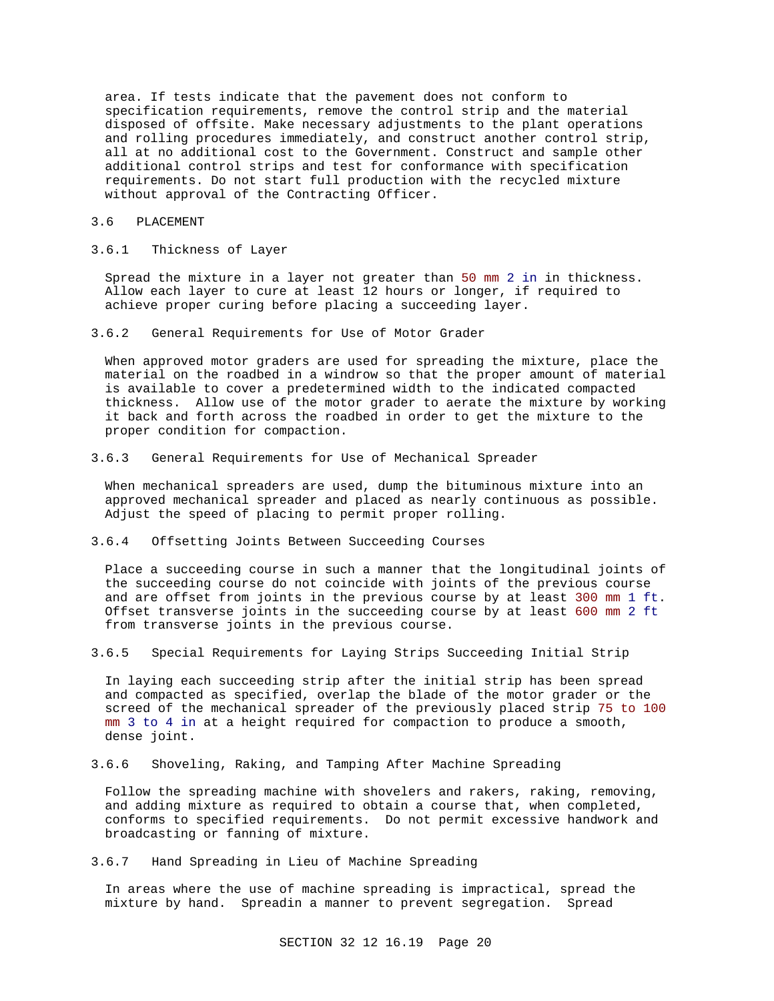area. If tests indicate that the pavement does not conform to specification requirements, remove the control strip and the material disposed of offsite. Make necessary adjustments to the plant operations and rolling procedures immediately, and construct another control strip, all at no additional cost to the Government. Construct and sample other additional control strips and test for conformance with specification requirements. Do not start full production with the recycled mixture without approval of the Contracting Officer.

# 3.6 PLACEMENT

# 3.6.1 Thickness of Layer

Spread the mixture in a layer not greater than 50 mm 2 in in thickness. Allow each layer to cure at least 12 hours or longer, if required to achieve proper curing before placing a succeeding layer.

3.6.2 General Requirements for Use of Motor Grader

When approved motor graders are used for spreading the mixture, place the material on the roadbed in a windrow so that the proper amount of material is available to cover a predetermined width to the indicated compacted thickness. Allow use of the motor grader to aerate the mixture by working it back and forth across the roadbed in order to get the mixture to the proper condition for compaction.

# 3.6.3 General Requirements for Use of Mechanical Spreader

When mechanical spreaders are used, dump the bituminous mixture into an approved mechanical spreader and placed as nearly continuous as possible. Adjust the speed of placing to permit proper rolling.

# 3.6.4 Offsetting Joints Between Succeeding Courses

Place a succeeding course in such a manner that the longitudinal joints of the succeeding course do not coincide with joints of the previous course and are offset from joints in the previous course by at least 300 mm 1 ft. Offset transverse joints in the succeeding course by at least 600 mm 2 ft from transverse joints in the previous course.

3.6.5 Special Requirements for Laying Strips Succeeding Initial Strip

In laying each succeeding strip after the initial strip has been spread and compacted as specified, overlap the blade of the motor grader or the screed of the mechanical spreader of the previously placed strip 75 to 100 mm 3 to 4 in at a height required for compaction to produce a smooth, dense joint.

3.6.6 Shoveling, Raking, and Tamping After Machine Spreading

Follow the spreading machine with shovelers and rakers, raking, removing, and adding mixture as required to obtain a course that, when completed, conforms to specified requirements. Do not permit excessive handwork and broadcasting or fanning of mixture.

3.6.7 Hand Spreading in Lieu of Machine Spreading

In areas where the use of machine spreading is impractical, spread the mixture by hand. Spreadin a manner to prevent segregation. Spread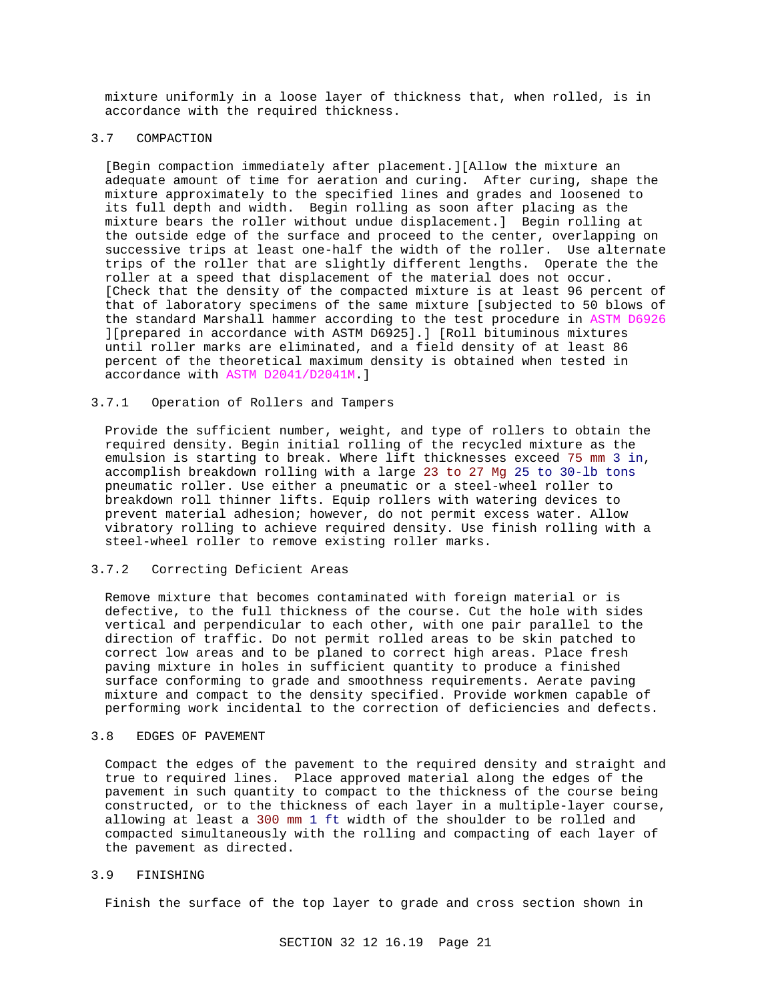mixture uniformly in a loose layer of thickness that, when rolled, is in accordance with the required thickness.

# 3.7 COMPACTION

[Begin compaction immediately after placement.][Allow the mixture an adequate amount of time for aeration and curing. After curing, shape the mixture approximately to the specified lines and grades and loosened to its full depth and width. Begin rolling as soon after placing as the mixture bears the roller without undue displacement.] Begin rolling at the outside edge of the surface and proceed to the center, overlapping on successive trips at least one-half the width of the roller. Use alternate trips of the roller that are slightly different lengths. Operate the the roller at a speed that displacement of the material does not occur. [Check that the density of the compacted mixture is at least 96 percent of that of laboratory specimens of the same mixture [subjected to 50 blows of the standard Marshall hammer according to the test procedure in ASTM D6926 ][prepared in accordance with ASTM D6925].] [Roll bituminous mixtures until roller marks are eliminated, and a field density of at least 86 percent of the theoretical maximum density is obtained when tested in accordance with ASTM D2041/D2041M.]

# 3.7.1 Operation of Rollers and Tampers

Provide the sufficient number, weight, and type of rollers to obtain the required density. Begin initial rolling of the recycled mixture as the emulsion is starting to break. Where lift thicknesses exceed 75 mm 3 in, accomplish breakdown rolling with a large 23 to 27 Mg 25 to 30-lb tons pneumatic roller. Use either a pneumatic or a steel-wheel roller to breakdown roll thinner lifts. Equip rollers with watering devices to prevent material adhesion; however, do not permit excess water. Allow vibratory rolling to achieve required density. Use finish rolling with a steel-wheel roller to remove existing roller marks.

# 3.7.2 Correcting Deficient Areas

Remove mixture that becomes contaminated with foreign material or is defective, to the full thickness of the course. Cut the hole with sides vertical and perpendicular to each other, with one pair parallel to the direction of traffic. Do not permit rolled areas to be skin patched to correct low areas and to be planed to correct high areas. Place fresh paving mixture in holes in sufficient quantity to produce a finished surface conforming to grade and smoothness requirements. Aerate paving mixture and compact to the density specified. Provide workmen capable of performing work incidental to the correction of deficiencies and defects.

### 3.8 EDGES OF PAVEMENT

Compact the edges of the pavement to the required density and straight and true to required lines. Place approved material along the edges of the pavement in such quantity to compact to the thickness of the course being constructed, or to the thickness of each layer in a multiple-layer course, allowing at least a 300 mm 1 ft width of the shoulder to be rolled and compacted simultaneously with the rolling and compacting of each layer of the pavement as directed.

# 3.9 FINISHING

Finish the surface of the top layer to grade and cross section shown in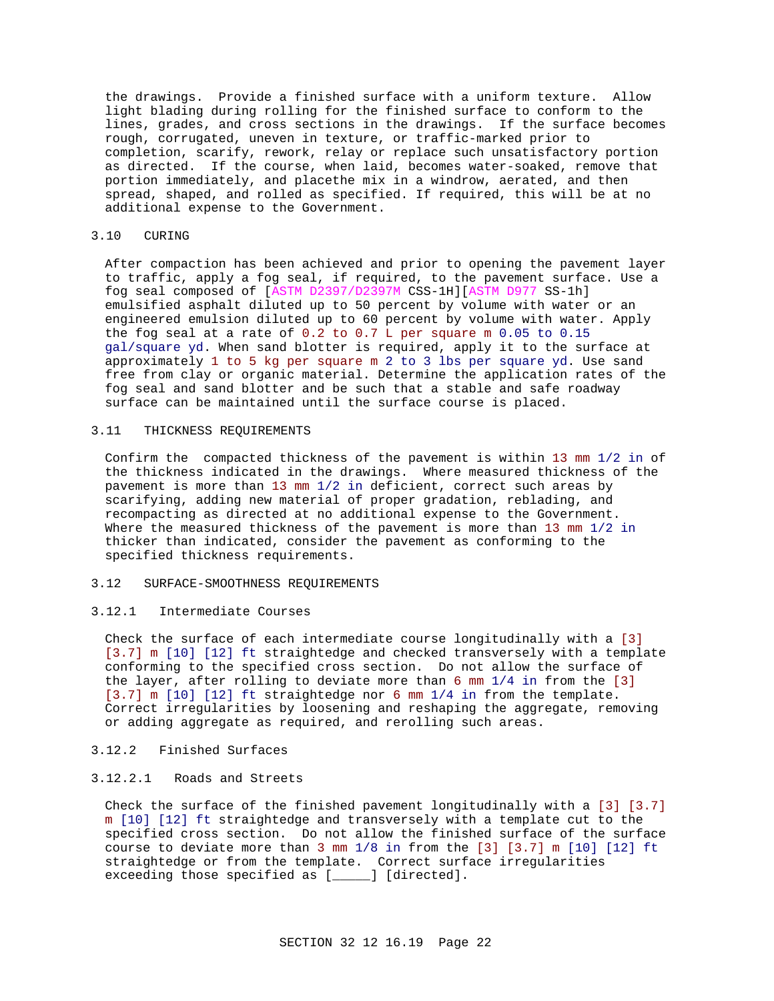the drawings. Provide a finished surface with a uniform texture. Allow light blading during rolling for the finished surface to conform to the lines, grades, and cross sections in the drawings. If the surface becomes rough, corrugated, uneven in texture, or traffic-marked prior to completion, scarify, rework, relay or replace such unsatisfactory portion as directed. If the course, when laid, becomes water-soaked, remove that portion immediately, and placethe mix in a windrow, aerated, and then spread, shaped, and rolled as specified. If required, this will be at no additional expense to the Government.

## 3.10 CURING

After compaction has been achieved and prior to opening the pavement layer to traffic, apply a fog seal, if required, to the pavement surface. Use a fog seal composed of [ASTM D2397/D2397M CSS-1H][ASTM D977 SS-1h] emulsified asphalt diluted up to 50 percent by volume with water or an engineered emulsion diluted up to 60 percent by volume with water. Apply the fog seal at a rate of 0.2 to 0.7 L per square m 0.05 to 0.15 gal/square yd. When sand blotter is required, apply it to the surface at approximately 1 to 5 kg per square m 2 to 3 lbs per square yd. Use sand free from clay or organic material. Determine the application rates of the fog seal and sand blotter and be such that a stable and safe roadway surface can be maintained until the surface course is placed.

## 3.11 THICKNESS REQUIREMENTS

Confirm the compacted thickness of the pavement is within 13 mm 1/2 in of the thickness indicated in the drawings. Where measured thickness of the pavement is more than 13 mm 1/2 in deficient, correct such areas by scarifying, adding new material of proper gradation, reblading, and recompacting as directed at no additional expense to the Government. Where the measured thickness of the pavement is more than 13 mm 1/2 in thicker than indicated, consider the pavement as conforming to the specified thickness requirements.

# 3.12 SURFACE-SMOOTHNESS REQUIREMENTS

# 3.12.1 Intermediate Courses

Check the surface of each intermediate course longitudinally with a [3] [3.7] m [10] [12] ft straightedge and checked transversely with a template conforming to the specified cross section. Do not allow the surface of the layer, after rolling to deviate more than 6 mm 1/4 in from the [3] [3.7] m [10] [12] ft straightedge nor 6 mm 1/4 in from the template. Correct irregularities by loosening and reshaping the aggregate, removing or adding aggregate as required, and rerolling such areas.

# 3.12.2 Finished Surfaces

# 3.12.2.1 Roads and Streets

Check the surface of the finished pavement longitudinally with a [3] [3.7] m [10] [12] ft straightedge and transversely with a template cut to the specified cross section. Do not allow the finished surface of the surface course to deviate more than 3 mm 1/8 in from the [3] [3.7] m [10] [12] ft straightedge or from the template. Correct surface irregularities exceeding those specified as [\_\_\_\_\_] [directed].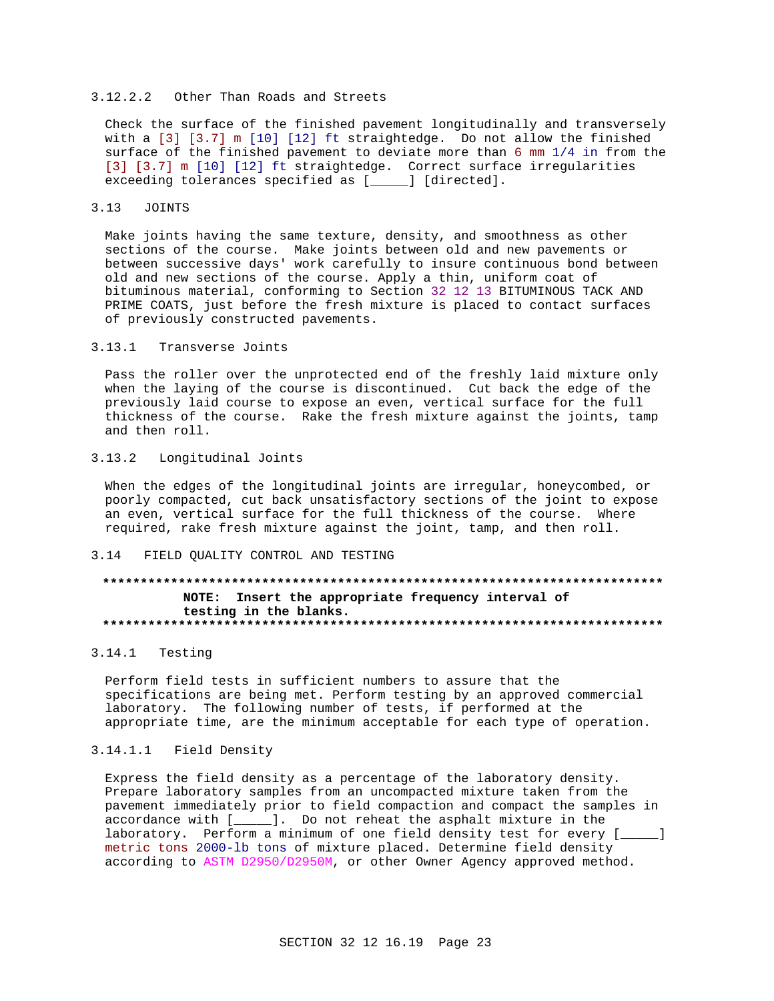# 3.12.2.2 Other Than Roads and Streets

Check the surface of the finished pavement longitudinally and transversely with a [3] [3.7] m [10] [12] ft straightedge. Do not allow the finished surface of the finished pavement to deviate more than 6 mm 1/4 in from the [3] [3.7] m [10] [12] ft straightedge. Correct surface irregularities exceeding tolerances specified as [\_\_\_\_] [directed].

#### $3.13$ **JOINTS**

Make joints having the same texture, density, and smoothness as other sections of the course. Make joints between old and new pavements or between successive days' work carefully to insure continuous bond between old and new sections of the course. Apply a thin, uniform coat of bituminous material, conforming to Section 32 12 13 BITUMINOUS TACK AND PRIME COATS, just before the fresh mixture is placed to contact surfaces of previously constructed pavements.

#### $3.13.1$ Transverse Joints

Pass the roller over the unprotected end of the freshly laid mixture only when the laying of the course is discontinued. Cut back the edge of the previously laid course to expose an even, vertical surface for the full thickness of the course. Rake the fresh mixture against the joints, tamp and then roll.

# 3.13.2 Longitudinal Joints

When the edges of the longitudinal joints are irregular, honeycombed, or poorly compacted, cut back unsatisfactory sections of the joint to expose an even, vertical surface for the full thickness of the course. Where required, rake fresh mixture against the joint, tamp, and then roll.

#### FIELD QUALITY CONTROL AND TESTING  $3 \t14$

# NOTE: Insert the appropriate frequency interval of testing in the blanks.

### 3.14.1 Testing

Perform field tests in sufficient numbers to assure that the specifications are being met. Perform testing by an approved commercial laboratory. The following number of tests, if performed at the appropriate time, are the minimum acceptable for each type of operation.

# 3.14.1.1 Field Density

Express the field density as a percentage of the laboratory density. Prepare laboratory samples from an uncompacted mixture taken from the pavement immediately prior to field compaction and compact the samples in accordance with [\_\_\_\_\_]. Do not reheat the asphalt mixture in the laboratory. Perform a minimum of one field density test for every [  $\blacksquare$ metric tons 2000-lb tons of mixture placed. Determine field density according to ASTM D2950/D2950M, or other Owner Agency approved method.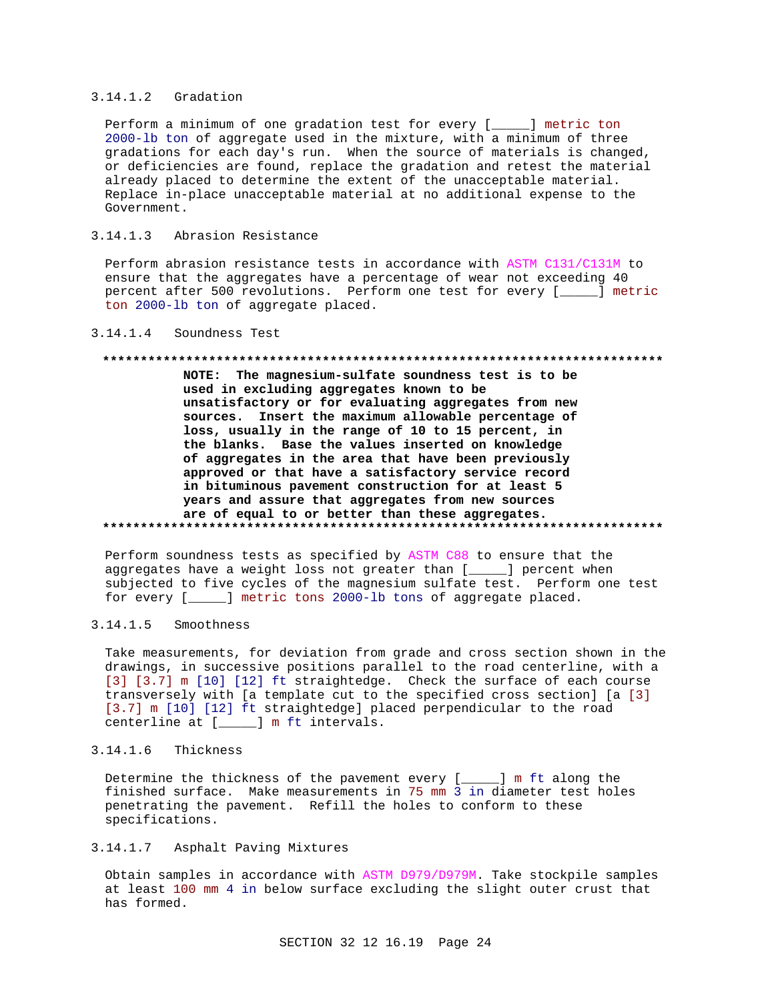# 3.14.1.2 Gradation

Perform a minimum of one gradation test for every [\_\_\_\_\_] metric ton 2000-lb ton of aggregate used in the mixture, with a minimum of three gradations for each day's run. When the source of materials is changed, or deficiencies are found, replace the gradation and retest the material already placed to determine the extent of the unacceptable material. Replace in-place unacceptable material at no additional expense to the Government.

# 3.14.1.3 Abrasion Resistance

Perform abrasion resistance tests in accordance with ASTM C131/C131M to ensure that the aggregates have a percentage of wear not exceeding 40 percent after 500 revolutions. Perform one test for every [\_\_\_\_\_] metric ton 2000-lb ton of aggregate placed.

# 3.14.1.4 Soundness Test

### **\*\*\*\*\*\*\*\*\*\*\*\*\*\*\*\*\*\*\*\*\*\*\*\*\*\*\*\*\*\*\*\*\*\*\*\*\*\*\*\*\*\*\*\*\*\*\*\*\*\*\*\*\*\*\*\*\*\*\*\*\*\*\*\*\*\*\*\*\*\*\*\*\*\***

**NOTE: The magnesium-sulfate soundness test is to be used in excluding aggregates known to be unsatisfactory or for evaluating aggregates from new sources. Insert the maximum allowable percentage of loss, usually in the range of 10 to 15 percent, in the blanks. Base the values inserted on knowledge of aggregates in the area that have been previously approved or that have a satisfactory service record in bituminous pavement construction for at least 5 years and assure that aggregates from new sources are of equal to or better than these aggregates. \*\*\*\*\*\*\*\*\*\*\*\*\*\*\*\*\*\*\*\*\*\*\*\*\*\*\*\*\*\*\*\*\*\*\*\*\*\*\*\*\*\*\*\*\*\*\*\*\*\*\*\*\*\*\*\*\*\*\*\*\*\*\*\*\*\*\*\*\*\*\*\*\*\***

Perform soundness tests as specified by ASTM C88 to ensure that the aggregates have a weight loss not greater than [\_\_\_\_\_] percent when subjected to five cycles of the magnesium sulfate test. Perform one test for every [\_\_\_\_\_] metric tons 2000-lb tons of aggregate placed.

# 3.14.1.5 Smoothness

Take measurements, for deviation from grade and cross section shown in the drawings, in successive positions parallel to the road centerline, with a [3] [3.7] m [10] [12] ft straightedge. Check the surface of each course transversely with [a template cut to the specified cross section] [a [3] [3.7] m [10] [12] ft straightedge] placed perpendicular to the road centerline at [\_\_\_\_\_] m ft intervals.

# 3.14.1.6 Thickness

Determine the thickness of the pavement every [\_\_\_\_\_] m ft along the finished surface. Make measurements in 75 mm 3 in diameter test holes penetrating the pavement. Refill the holes to conform to these specifications.

# 3.14.1.7 Asphalt Paving Mixtures

Obtain samples in accordance with ASTM D979/D979M. Take stockpile samples at least 100 mm 4 in below surface excluding the slight outer crust that has formed.